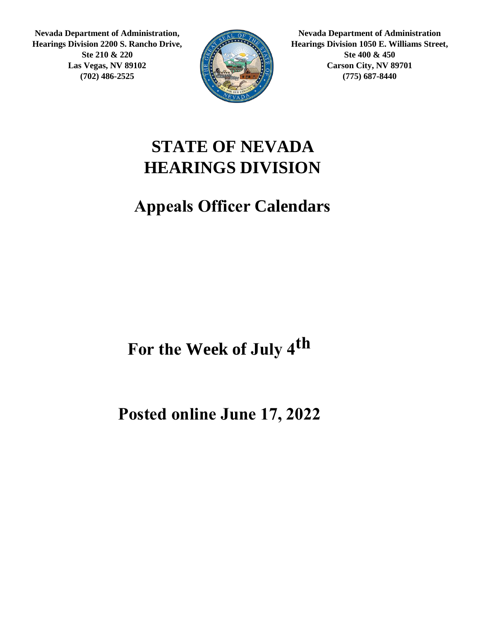**Nevada Department of Administration, Hearings Division 2200 S. Rancho Drive, Ste 210 & 220 Las Vegas, NV 89102 (702) 486-2525**



**Nevada Department of Administration Hearings Division 1050 E. Williams Street, Ste 400 & 450 Carson City, NV 89701 (775) 687-8440**

#### **STATE OF NEVADA HEARINGS DIVISION**

#### **Appeals Officer Calendars**

For the Week of July  $4^{th}$ 

**Posted online June 17, 2022**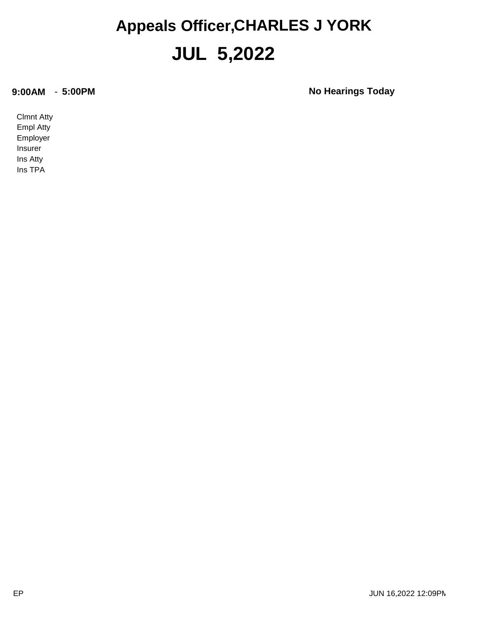#### **JUL 5,2022 Appeals Officer,CHARLES J YORK**

**9:00AM** - **5:00PM No Hearings Today**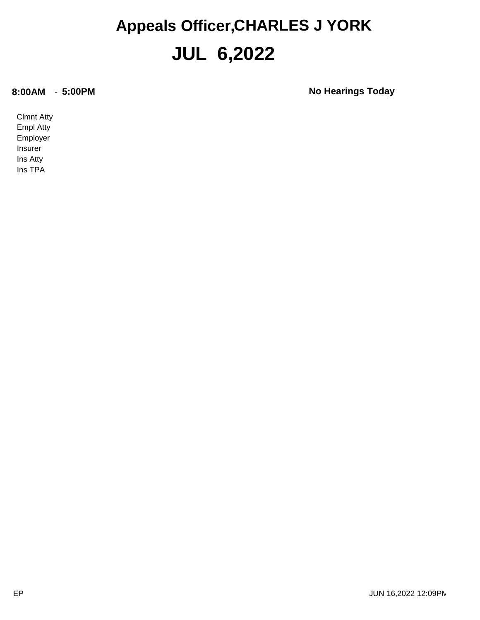#### **JUL 6,2022 Appeals Officer,CHARLES J YORK**

**8:00AM** - **5:00PM No Hearings Today**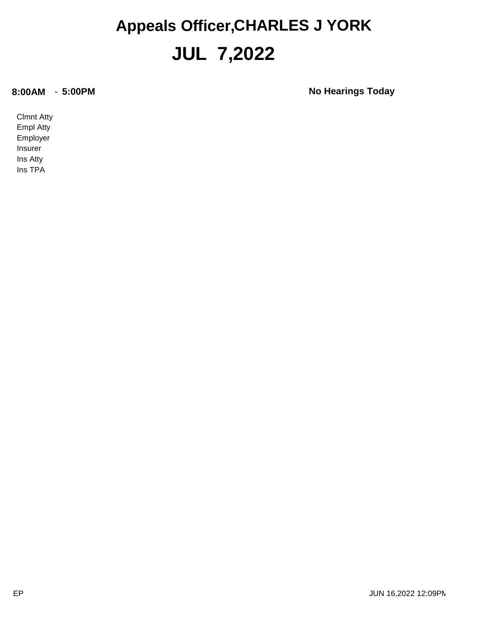#### **JUL 7,2022 Appeals Officer,CHARLES J YORK**

**8:00AM** - **5:00PM No Hearings Today**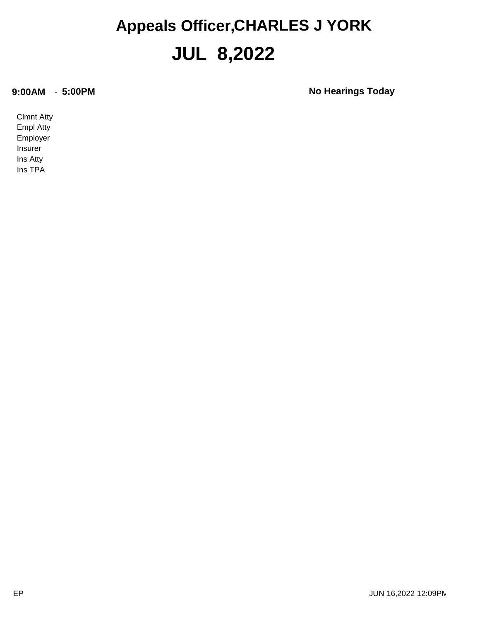#### **JUL 8,2022 Appeals Officer,CHARLES J YORK**

**9:00AM** - **5:00PM No Hearings Today**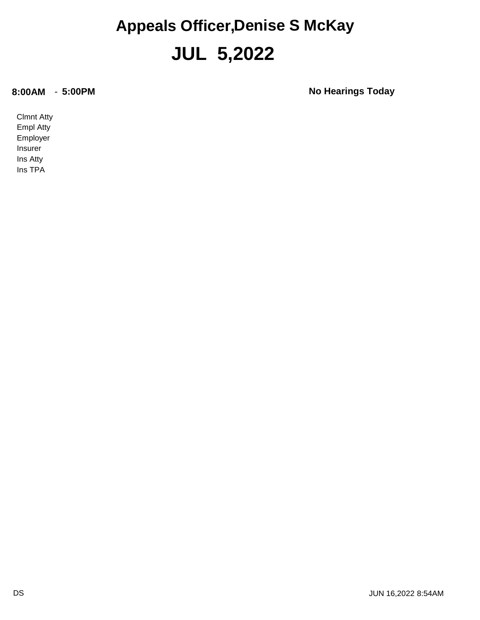#### **JUL 5,2022 Appeals Officer,Denise S McKay**

**8:00AM** - **5:00PM No Hearings Today**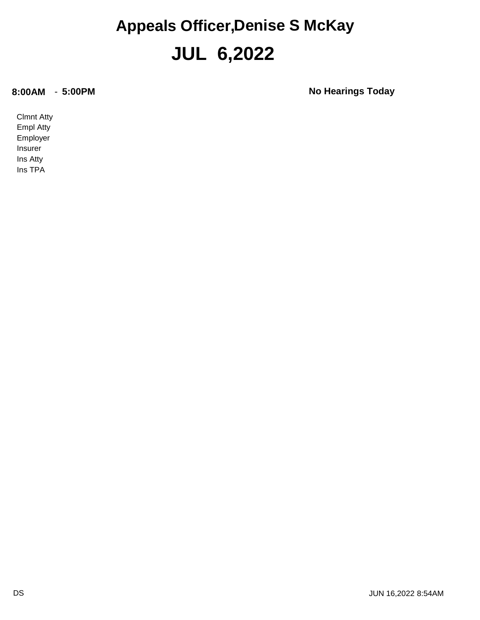#### **JUL 6,2022 Appeals Officer,Denise S McKay**

**8:00AM** - **5:00PM No Hearings Today**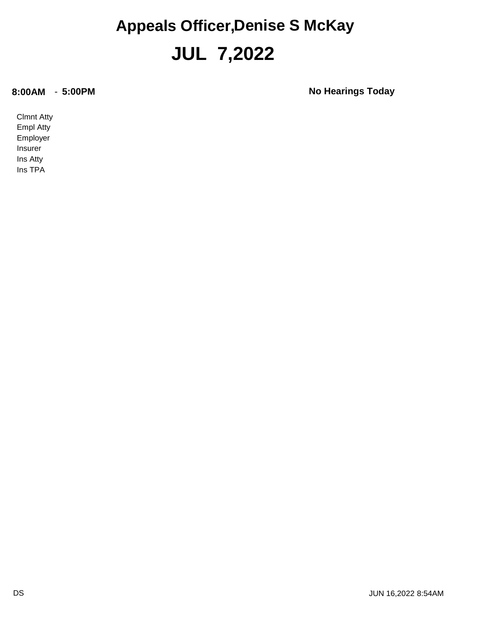#### **JUL 7,2022 Appeals Officer,Denise S McKay**

**8:00AM** - **5:00PM No Hearings Today**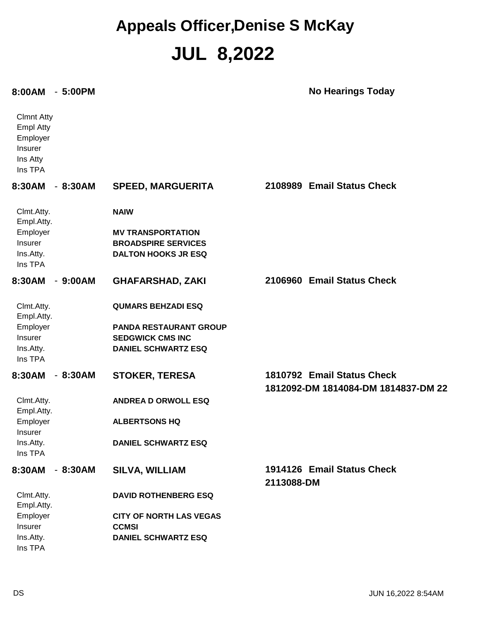#### **JUL 8,2022 Appeals Officer,Denise S McKay**

#### **8:00AM** - **5:00PM No Hearings Today**

| <b>Clmnt Atty</b><br><b>Empl Atty</b><br>Employer<br>Insurer<br>Ins Atty<br>Ins TPA |                                |                                                                   |
|-------------------------------------------------------------------------------------|--------------------------------|-------------------------------------------------------------------|
| 8:30AM<br>$-8:30AM$                                                                 | <b>SPEED, MARGUERITA</b>       | 2108989 Email Status Check                                        |
| Clmt.Atty.<br>Empl.Atty.                                                            | <b>NAIW</b>                    |                                                                   |
| Employer                                                                            | <b>MV TRANSPORTATION</b>       |                                                                   |
| Insurer                                                                             | <b>BROADSPIRE SERVICES</b>     |                                                                   |
| Ins.Atty.                                                                           | <b>DALTON HOOKS JR ESQ</b>     |                                                                   |
| Ins TPA                                                                             |                                |                                                                   |
| 8:30AM<br>$-9:00AM$                                                                 | <b>GHAFARSHAD, ZAKI</b>        | 2106960 Email Status Check                                        |
|                                                                                     |                                |                                                                   |
| Clmt.Atty.<br>Empl.Atty.                                                            | <b>QUMARS BEHZADI ESQ</b>      |                                                                   |
| Employer                                                                            | <b>PANDA RESTAURANT GROUP</b>  |                                                                   |
| Insurer                                                                             | <b>SEDGWICK CMS INC</b>        |                                                                   |
| Ins.Atty.                                                                           | <b>DANIEL SCHWARTZ ESQ</b>     |                                                                   |
| Ins TPA                                                                             |                                |                                                                   |
| 8:30AM<br>$-8:30AM$                                                                 | <b>STOKER, TERESA</b>          | 1810792 Email Status Check<br>1812092-DM 1814084-DM 1814837-DM 22 |
| Clmt.Atty.<br>Empl.Atty.                                                            | <b>ANDREA D ORWOLL ESQ</b>     |                                                                   |
| Employer<br>Insurer                                                                 | <b>ALBERTSONS HQ</b>           |                                                                   |
| Ins.Atty.<br>Ins TPA                                                                | <b>DANIEL SCHWARTZ ESQ</b>     |                                                                   |
| $-8:30AM$<br>8:30AM                                                                 | <b>SILVA, WILLIAM</b>          | 1914126 Email Status Check                                        |
|                                                                                     |                                | 2113088-DM                                                        |
| Clmt.Atty.                                                                          | <b>DAVID ROTHENBERG ESQ</b>    |                                                                   |
| Empl.Atty.                                                                          |                                |                                                                   |
| Employer                                                                            | <b>CITY OF NORTH LAS VEGAS</b> |                                                                   |
| Insurer                                                                             | <b>CCMSI</b>                   |                                                                   |
| Ins.Atty.                                                                           | <b>DANIEL SCHWARTZ ESQ</b>     |                                                                   |
| Ins TPA                                                                             |                                |                                                                   |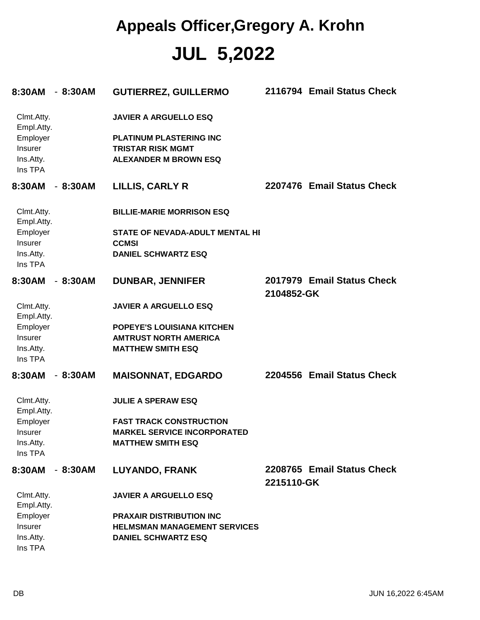#### **JUL 5,2022 Appeals Officer,Gregory A. Krohn**

| 8:30AM - 8:30AM          |           | <b>GUTIERREZ, GUILLERMO</b>         |            | 2116794 Email Status Check |
|--------------------------|-----------|-------------------------------------|------------|----------------------------|
| Clmt.Atty.<br>Empl.Atty. |           | <b>JAVIER A ARGUELLO ESQ</b>        |            |                            |
| Employer                 |           | <b>PLATINUM PLASTERING INC</b>      |            |                            |
| Insurer                  |           | <b>TRISTAR RISK MGMT</b>            |            |                            |
| Ins.Atty.<br>Ins TPA     |           | <b>ALEXANDER M BROWN ESQ</b>        |            |                            |
| 8:30AM                   | - 8:30AM  | LILLIS, CARLY R                     |            | 2207476 Email Status Check |
| Clmt.Atty.<br>Empl.Atty. |           | <b>BILLIE-MARIE MORRISON ESQ</b>    |            |                            |
| Employer                 |           | STATE OF NEVADA-ADULT MENTAL HI     |            |                            |
| Insurer                  |           | <b>CCMSI</b>                        |            |                            |
| Ins.Atty.<br>Ins TPA     |           | <b>DANIEL SCHWARTZ ESQ</b>          |            |                            |
| 8:30AM                   | $-8:30AM$ | <b>DUNBAR, JENNIFER</b>             |            | 2017979 Email Status Check |
|                          |           |                                     | 2104852-GK |                            |
| Clmt.Atty.<br>Empl.Atty. |           | <b>JAVIER A ARGUELLO ESQ</b>        |            |                            |
| Employer                 |           | POPEYE'S LOUISIANA KITCHEN          |            |                            |
| Insurer                  |           | <b>AMTRUST NORTH AMERICA</b>        |            |                            |
| Ins.Atty.<br>Ins TPA     |           | <b>MATTHEW SMITH ESQ</b>            |            |                            |
| 8:30AM                   | $-8:30AM$ | <b>MAISONNAT, EDGARDO</b>           |            | 2204556 Email Status Check |
| Clmt.Atty.<br>Empl.Atty. |           | <b>JULIE A SPERAW ESQ</b>           |            |                            |
| Employer                 |           | <b>FAST TRACK CONSTRUCTION</b>      |            |                            |
| Insurer                  |           | <b>MARKEL SERVICE INCORPORATED</b>  |            |                            |
| Ins.Atty.<br>Ins TPA     |           | <b>MATTHEW SMITH ESQ</b>            |            |                            |
| 8:30AM                   | $-8:30AM$ | <b>LUYANDO, FRANK</b>               |            | 2208765 Email Status Check |
|                          |           |                                     | 2215110-GK |                            |
| Clmt.Atty.<br>Empl.Atty. |           | <b>JAVIER A ARGUELLO ESQ</b>        |            |                            |
| Employer                 |           | <b>PRAXAIR DISTRIBUTION INC</b>     |            |                            |
| Insurer                  |           | <b>HELMSMAN MANAGEMENT SERVICES</b> |            |                            |
| Ins.Atty.                |           | <b>DANIEL SCHWARTZ ESQ</b>          |            |                            |
| Ins TPA                  |           |                                     |            |                            |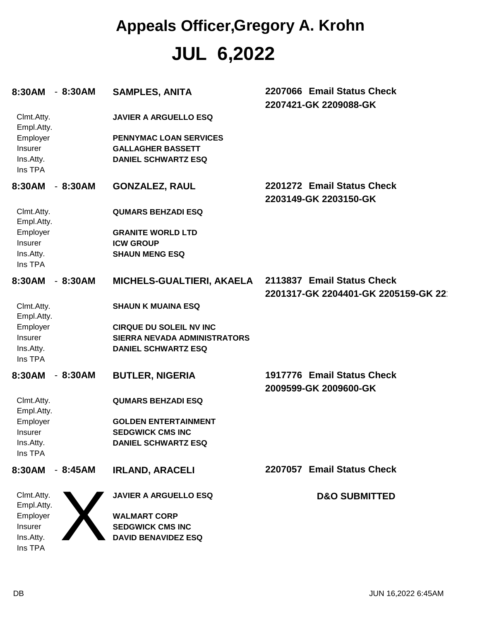# **JUL 6,2022 Appeals Officer,Gregory A. Krohn**

| 8:30AM                                  | - 8:30AM  | <b>SAMPLES, ANITA</b>                                                            | 2207066 Email Status Check<br>2207421-GK 2209088-GK               |
|-----------------------------------------|-----------|----------------------------------------------------------------------------------|-------------------------------------------------------------------|
| Clmt.Atty.<br>Empl.Atty.                |           | <b>JAVIER A ARGUELLO ESQ</b>                                                     |                                                                   |
| Employer<br><b>Insurer</b><br>Ins.Atty. |           | PENNYMAC LOAN SERVICES<br><b>GALLAGHER BASSETT</b><br><b>DANIEL SCHWARTZ ESQ</b> |                                                                   |
| Ins TPA                                 |           |                                                                                  |                                                                   |
| 8:30AM                                  | $-8:30AM$ | <b>GONZALEZ, RAUL</b>                                                            | 2201272 Email Status Check<br>2203149-GK 2203150-GK               |
| Clmt.Atty.<br>Empl.Atty.                |           | <b>QUMARS BEHZADI ESQ</b>                                                        |                                                                   |
| Employer                                |           | <b>GRANITE WORLD LTD</b>                                                         |                                                                   |
| Insurer                                 |           | <b>ICW GROUP</b>                                                                 |                                                                   |
| Ins.Atty.<br>Ins TPA                    |           | <b>SHAUN MENG ESQ</b>                                                            |                                                                   |
| 8:30AM                                  | $-8:30AM$ | MICHELS-GUALTIERI, AKAELA                                                        | 2113837 Email Status Check<br>2201317-GK 2204401-GK 2205159-GK 22 |
| Clmt.Atty.<br>Empl.Atty.                |           | <b>SHAUN K MUAINA ESQ</b>                                                        |                                                                   |
| Employer                                |           | <b>CIRQUE DU SOLEIL NV INC</b>                                                   |                                                                   |
| Insurer                                 |           | <b>SIERRA NEVADA ADMINISTRATORS</b>                                              |                                                                   |
| Ins.Atty.<br>Ins TPA                    |           | <b>DANIEL SCHWARTZ ESQ</b>                                                       |                                                                   |
| 8:30AM                                  | $-8:30AM$ | <b>BUTLER, NIGERIA</b>                                                           | 1917776 Email Status Check<br>2009599-GK 2009600-GK               |
| Clmt.Atty.<br>Empl.Atty.                |           | <b>QUMARS BEHZADI ESQ</b>                                                        |                                                                   |
| Employer                                |           | <b>GOLDEN ENTERTAINMENT</b>                                                      |                                                                   |
| Insurer                                 |           | <b>SEDGWICK CMS INC</b>                                                          |                                                                   |
| Ins.Atty.                               |           | <b>DANIEL SCHWARTZ ESQ</b>                                                       |                                                                   |
| Ins TPA                                 |           |                                                                                  |                                                                   |
| 8:30AM                                  | $-8:45AM$ | <b>IRLAND, ARACELI</b>                                                           | 2207057 Email Status Check                                        |
| Clmt.Atty.<br>Empl.Atty.                |           | <b>JAVIER A ARGUELLO ESQ</b>                                                     | <b>D&amp;O SUBMITTED</b>                                          |
| Employer                                |           | <b>WALMART CORP</b>                                                              |                                                                   |
| Insurer                                 |           | <b>SEDGWICK CMS INC</b>                                                          |                                                                   |
| Ins.Atty.<br>Ins TPA                    |           | <b>DAVID BENAVIDEZ ESQ</b>                                                       |                                                                   |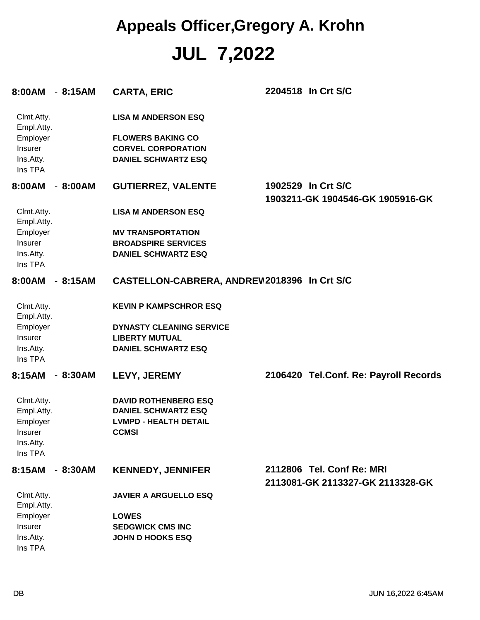# **JUL 7,2022 Appeals Officer,Gregory A. Krohn**

| 8:00AM - 8:15AM                                                         |           | <b>CARTA, ERIC</b>                                                                                                | 2204518 In Crt S/C                                            |
|-------------------------------------------------------------------------|-----------|-------------------------------------------------------------------------------------------------------------------|---------------------------------------------------------------|
| Clmt.Atty.<br>Empl.Atty.<br>Employer<br>Insurer<br>Ins.Atty.            |           | <b>LISA M ANDERSON ESQ</b><br><b>FLOWERS BAKING CO</b><br><b>CORVEL CORPORATION</b><br><b>DANIEL SCHWARTZ ESQ</b> |                                                               |
| Ins TPA                                                                 |           |                                                                                                                   |                                                               |
| 8:00AM                                                                  | $-8:00AM$ | <b>GUTIERREZ, VALENTE</b>                                                                                         | 1902529 In Crt S/C<br>1903211-GK 1904546-GK 1905916-GK        |
| Clmt.Atty.<br>Empl.Atty.                                                |           | <b>LISA M ANDERSON ESQ</b>                                                                                        |                                                               |
| Employer                                                                |           | <b>MV TRANSPORTATION</b>                                                                                          |                                                               |
| <b>Insurer</b>                                                          |           | <b>BROADSPIRE SERVICES</b>                                                                                        |                                                               |
| Ins.Atty.<br>Ins TPA                                                    |           | <b>DANIEL SCHWARTZ ESQ</b>                                                                                        |                                                               |
| 8:00AM                                                                  | $-8:15AM$ | CASTELLON-CABRERA, ANDREW2018396 In Crt S/C                                                                       |                                                               |
| Clmt.Atty.<br>Empl.Atty.                                                |           | <b>KEVIN P KAMPSCHROR ESQ</b>                                                                                     |                                                               |
| Employer                                                                |           | <b>DYNASTY CLEANING SERVICE</b>                                                                                   |                                                               |
| Insurer                                                                 |           | <b>LIBERTY MUTUAL</b>                                                                                             |                                                               |
| Ins.Atty.<br>Ins TPA                                                    |           | <b>DANIEL SCHWARTZ ESQ</b>                                                                                        |                                                               |
| 8:15AM                                                                  | $-8:30AM$ | LEVY, JEREMY                                                                                                      | 2106420 Tel.Conf. Re: Payroll Records                         |
| Clmt.Atty.<br>Empl.Atty.<br>Employer<br>Insurer<br>Ins.Atty.<br>Ins TPA |           | <b>DAVID ROTHENBERG ESQ</b><br><b>DANIEL SCHWARTZ ESQ</b><br><b>LVMPD - HEALTH DETAIL</b><br><b>CCMSI</b>         |                                                               |
| 8:15AM                                                                  | $-8:30AM$ | <b>KENNEDY, JENNIFER</b>                                                                                          | 2112806 Tel. Conf Re: MRI<br>2113081-GK 2113327-GK 2113328-GK |
| Clmt.Atty.<br>Empl.Atty.                                                |           | <b>JAVIER A ARGUELLO ESQ</b>                                                                                      |                                                               |
| Employer                                                                |           | <b>LOWES</b>                                                                                                      |                                                               |
| Insurer                                                                 |           | <b>SEDGWICK CMS INC</b>                                                                                           |                                                               |
| Ins.Atty.<br>Ins TPA                                                    |           | <b>JOHN D HOOKS ESQ</b>                                                                                           |                                                               |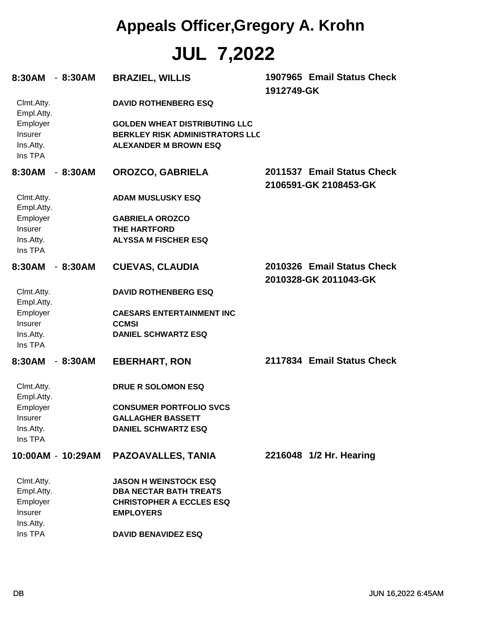# **JUL 7,2022 Appeals Officer,Gregory A. Krohn**

| 8:30AM                                             | - 8:30AM          | <b>BRAZIEL, WILLIS</b>                                                                                         | 1912749-GK | 1907965 Email Status Check                          |
|----------------------------------------------------|-------------------|----------------------------------------------------------------------------------------------------------------|------------|-----------------------------------------------------|
| Clmt.Atty.<br>Empl.Atty.                           |                   | <b>DAVID ROTHENBERG ESQ</b>                                                                                    |            |                                                     |
| Employer<br><b>Insurer</b><br>Ins.Atty.<br>Ins TPA |                   | <b>GOLDEN WHEAT DISTRIBUTING LLC</b><br><b>BERKLEY RISK ADMINISTRATORS LLC</b><br><b>ALEXANDER M BROWN ESQ</b> |            |                                                     |
| 8:30AM                                             | $-8:30AM$         | OROZCO, GABRIELA                                                                                               |            | 2011537 Email Status Check<br>2106591-GK 2108453-GK |
| Clmt.Atty.<br>Empl.Atty.                           |                   | <b>ADAM MUSLUSKY ESQ</b>                                                                                       |            |                                                     |
| Employer                                           |                   | <b>GABRIELA OROZCO</b>                                                                                         |            |                                                     |
| <b>Insurer</b>                                     |                   | <b>THE HARTFORD</b>                                                                                            |            |                                                     |
| Ins.Atty.                                          |                   | <b>ALYSSA M FISCHER ESQ</b>                                                                                    |            |                                                     |
| Ins TPA                                            |                   |                                                                                                                |            |                                                     |
| 8:30AM                                             | $-8:30AM$         | <b>CUEVAS, CLAUDIA</b>                                                                                         |            | 2010326 Email Status Check<br>2010328-GK 2011043-GK |
| Clmt.Atty.<br>Empl.Atty.                           |                   | <b>DAVID ROTHENBERG ESQ</b>                                                                                    |            |                                                     |
| Employer                                           |                   | <b>CAESARS ENTERTAINMENT INC</b>                                                                               |            |                                                     |
| <b>Insurer</b>                                     |                   | <b>CCMSI</b>                                                                                                   |            |                                                     |
| Ins.Atty.                                          |                   | <b>DANIEL SCHWARTZ ESQ</b>                                                                                     |            |                                                     |
| Ins TPA                                            |                   |                                                                                                                |            |                                                     |
| 8:30AM                                             | $-8:30AM$         | <b>EBERHART, RON</b>                                                                                           |            | 2117834 Email Status Check                          |
| Clmt.Atty.<br>Empl.Atty.                           |                   | DRUE R SOLOMON ESQ                                                                                             |            |                                                     |
| Employer                                           |                   | <b>CONSUMER PORTFOLIO SVCS</b>                                                                                 |            |                                                     |
| Insurer                                            |                   | <b>GALLAGHER BASSETT</b>                                                                                       |            |                                                     |
| Ins.Atty.                                          |                   | <b>DANIEL SCHWARTZ ESQ</b>                                                                                     |            |                                                     |
| Ins TPA                                            |                   |                                                                                                                |            |                                                     |
|                                                    | 10:00AM - 10:29AM | <b>PAZOAVALLES, TANIA</b>                                                                                      |            | 2216048 1/2 Hr. Hearing                             |
| Clmt.Atty.                                         |                   | <b>JASON H WEINSTOCK ESQ</b>                                                                                   |            |                                                     |
| Empl.Atty.                                         |                   | <b>DBA NECTAR BATH TREATS</b>                                                                                  |            |                                                     |
| Employer                                           |                   | <b>CHRISTOPHER A ECCLES ESQ</b>                                                                                |            |                                                     |
| Insurer                                            |                   | <b>EMPLOYERS</b>                                                                                               |            |                                                     |
| Ins.Atty.                                          |                   |                                                                                                                |            |                                                     |
| Ins TPA                                            |                   | <b>DAVID BENAVIDEZ ESQ</b>                                                                                     |            |                                                     |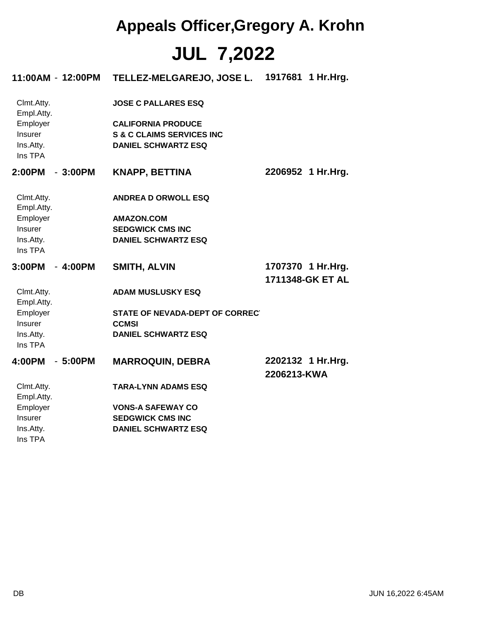# **JUL 7,2022 Appeals Officer,Gregory A. Krohn**

| 11:00AM - 12:00PM        | TELLEZ-MELGAREJO, JOSE L.            | 1917681 1 Hr. Hrg.               |
|--------------------------|--------------------------------------|----------------------------------|
| Clmt.Atty.<br>Empl.Atty. | <b>JOSE C PALLARES ESQ</b>           |                                  |
| Employer                 | <b>CALIFORNIA PRODUCE</b>            |                                  |
| Insurer                  | <b>S &amp; C CLAIMS SERVICES INC</b> |                                  |
| Ins.Atty.<br>Ins TPA     | <b>DANIEL SCHWARTZ ESQ</b>           |                                  |
| 2:00PM<br>$-3:00PM$      | <b>KNAPP, BETTINA</b>                | 2206952 1 Hr.Hrg.                |
| Clmt.Atty.<br>Empl.Atty. | <b>ANDREA D ORWOLL ESQ</b>           |                                  |
| Employer                 | <b>AMAZON.COM</b>                    |                                  |
| Insurer                  | <b>SEDGWICK CMS INC</b>              |                                  |
| Ins.Atty.<br>Ins TPA     | <b>DANIEL SCHWARTZ ESQ</b>           |                                  |
| 3:00PM<br>$-4:00PM$      | <b>SMITH, ALVIN</b>                  | 1707370 1 Hr.Hrg.                |
|                          |                                      | 1711348-GK ET AL                 |
| Clmt.Atty.<br>Empl.Atty. | <b>ADAM MUSLUSKY ESQ</b>             |                                  |
| Employer                 | STATE OF NEVADA-DEPT OF CORRECT      |                                  |
| Insurer                  | <b>CCMSI</b>                         |                                  |
| Ins.Atty.                | <b>DANIEL SCHWARTZ ESQ</b>           |                                  |
| Ins TPA                  |                                      |                                  |
| 4:00PM<br>$-5:00PM$      | <b>MARROQUIN, DEBRA</b>              | 2202132 1 Hr.Hrg.<br>2206213-KWA |
| Clmt.Atty.<br>Empl.Atty. | <b>TARA-LYNN ADAMS ESQ</b>           |                                  |
| Employer                 | <b>VONS-A SAFEWAY CO</b>             |                                  |
| Insurer                  | <b>SEDGWICK CMS INC</b>              |                                  |
| Ins.Atty.<br>Ins TPA     | <b>DANIEL SCHWARTZ ESQ</b>           |                                  |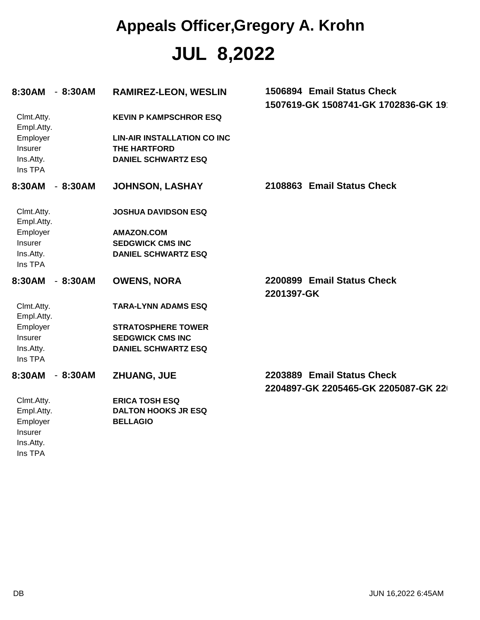# **JUL 8,2022 Appeals Officer,Gregory A. Krohn**

| 8:30AM                                                                  | $-8:30AM$ | <b>RAMIREZ-LEON, WESLIN</b>                                                                                              | 1506894 Email Status Check<br>1507619-GK 1508741-GK 1702836-GK 19 |
|-------------------------------------------------------------------------|-----------|--------------------------------------------------------------------------------------------------------------------------|-------------------------------------------------------------------|
| Clmt.Atty.<br>Empl.Atty.<br>Employer<br>Insurer<br>Ins.Atty.<br>Ins TPA |           | <b>KEVIN P KAMPSCHROR ESQ</b><br><b>LIN-AIR INSTALLATION CO INC</b><br><b>THE HARTFORD</b><br><b>DANIEL SCHWARTZ ESQ</b> |                                                                   |
| 8:30AM                                                                  | $-8:30AM$ | <b>JOHNSON, LASHAY</b>                                                                                                   | 2108863 Email Status Check                                        |
| Clmt.Atty.<br>Empl.Atty.<br>Employer<br>Insurer<br>Ins.Atty.<br>Ins TPA |           | <b>JOSHUA DAVIDSON ESQ</b><br><b>AMAZON.COM</b><br><b>SEDGWICK CMS INC</b><br><b>DANIEL SCHWARTZ ESQ</b>                 |                                                                   |
| 8:30AM                                                                  | $-8:30AM$ | <b>OWENS, NORA</b>                                                                                                       | 2200899 Email Status Check<br>2201397-GK                          |
| Clmt.Atty.<br>Empl.Atty.<br>Employer<br>Insurer<br>Ins.Atty.<br>Ins TPA |           | <b>TARA-LYNN ADAMS ESQ</b><br><b>STRATOSPHERE TOWER</b><br><b>SEDGWICK CMS INC</b><br><b>DANIEL SCHWARTZ ESQ</b>         |                                                                   |
| 8:30AM                                                                  | $-8:30AM$ | ZHUANG, JUE                                                                                                              | 2203889 Email Status Check<br>2204897-GK 2205465-GK 2205087-GK 22 |
| Clmt.Atty.<br>Empl.Atty.<br>Employer<br>Insurer<br>Ins.Atty.<br>Ins TPA |           | <b>ERICA TOSH ESQ</b><br><b>DALTON HOOKS JR ESQ</b><br><b>BELLAGIO</b>                                                   |                                                                   |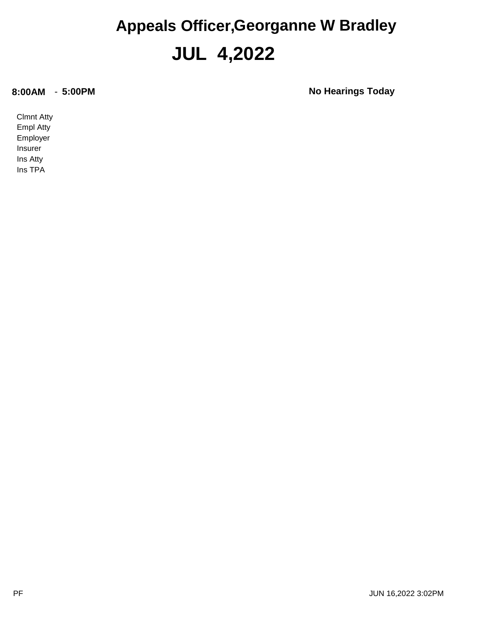#### **JUL 4,2022 Appeals Officer,Georganne W Bradley**

**8:00AM** - **5:00PM No Hearings Today**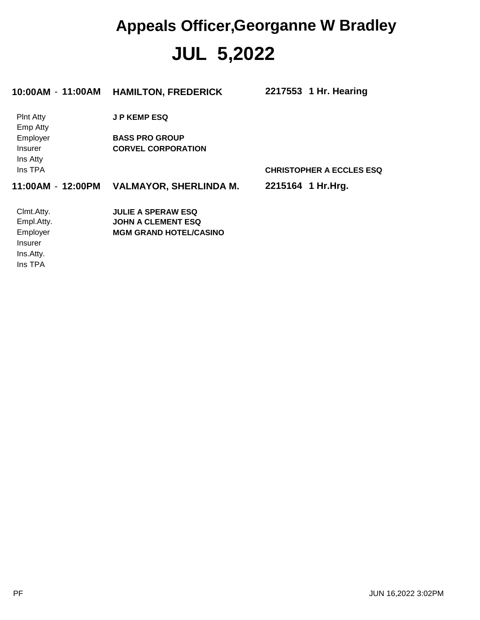## **JUL 5,2022 Appeals Officer,Georganne W Bradley**

| 10:00AM - 11:00AM                      | <b>HAMILTON, FREDERICK</b>                         | 2217553 1 Hr. Hearing           |
|----------------------------------------|----------------------------------------------------|---------------------------------|
| <b>Pint Atty</b><br>Emp Atty           | <b>JP KEMP ESQ</b>                                 |                                 |
| Employer<br><b>Insurer</b><br>Ins Atty | <b>BASS PRO GROUP</b><br><b>CORVEL CORPORATION</b> |                                 |
| Ins TPA                                |                                                    | <b>CHRISTOPHER A ECCLES ESQ</b> |
| 11:00AM - 12:00PM                      | <b>VALMAYOR, SHERLINDA M.</b>                      | 2215164 1 Hr. Hrg.              |
| Clmt.Atty.                             | <b>JULIE A SPERAW ESQ</b>                          |                                 |
| Empl.Atty.                             | <b>JOHN A CLEMENT ESQ</b>                          |                                 |
| Employer                               | <b>MGM GRAND HOTEL/CASINO</b>                      |                                 |
| Insurer                                |                                                    |                                 |
| Ins.Atty.                              |                                                    |                                 |
| Ins TPA                                |                                                    |                                 |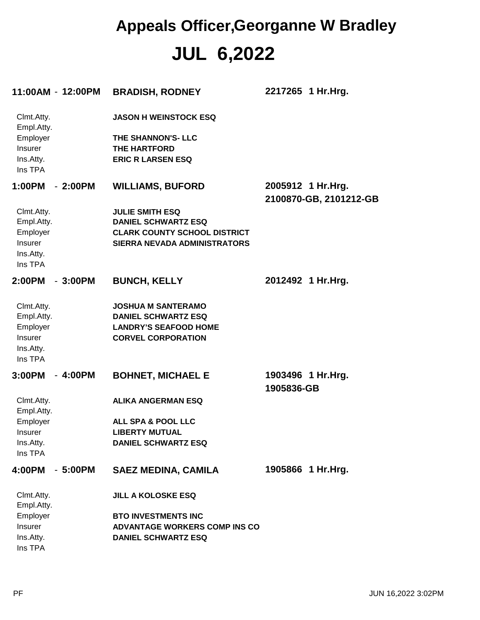## **JUL 6,2022 Appeals Officer,Georganne W Bradley**

|                          | 11:00AM - 12:00PM | <b>BRADISH, RODNEY</b>               | 2217265 1 Hr.Hrg.                           |
|--------------------------|-------------------|--------------------------------------|---------------------------------------------|
| Clmt.Atty.<br>Empl.Atty. |                   | <b>JASON H WEINSTOCK ESQ</b>         |                                             |
| Employer                 |                   | THE SHANNON'S- LLC                   |                                             |
| Insurer                  |                   | <b>THE HARTFORD</b>                  |                                             |
| Ins.Atty.<br>Ins TPA     |                   | <b>ERIC R LARSEN ESQ</b>             |                                             |
| 1:00PM                   | $-2:00PM$         | <b>WILLIAMS, BUFORD</b>              | 2005912 1 Hr.Hrg.<br>2100870-GB, 2101212-GB |
| Clmt.Atty.               |                   | <b>JULIE SMITH ESQ</b>               |                                             |
| Empl.Atty.               |                   | <b>DANIEL SCHWARTZ ESQ</b>           |                                             |
| Employer                 |                   | <b>CLARK COUNTY SCHOOL DISTRICT</b>  |                                             |
| Insurer                  |                   | <b>SIERRA NEVADA ADMINISTRATORS</b>  |                                             |
| Ins.Atty.                |                   |                                      |                                             |
| Ins TPA                  |                   |                                      |                                             |
| 2:00PM                   | $-3:00PM$         | <b>BUNCH, KELLY</b>                  | 2012492 1 Hr.Hrg.                           |
| Clmt.Atty.               |                   | <b>JOSHUA M SANTERAMO</b>            |                                             |
| Empl.Atty.               |                   | <b>DANIEL SCHWARTZ ESQ</b>           |                                             |
| Employer                 |                   | <b>LANDRY'S SEAFOOD HOME</b>         |                                             |
| Insurer                  |                   | <b>CORVEL CORPORATION</b>            |                                             |
| Ins.Atty.                |                   |                                      |                                             |
| Ins TPA                  |                   |                                      |                                             |
| 3:00PM                   | $-4:00PM$         | <b>BOHNET, MICHAEL E</b>             | 1903496 1 Hr. Hrg.                          |
|                          |                   |                                      | 1905836-GB                                  |
| Clmt.Atty.<br>Empl.Atty. |                   | <b>ALIKA ANGERMAN ESQ</b>            |                                             |
| Employer                 |                   | <b>ALL SPA &amp; POOL LLC</b>        |                                             |
| Insurer                  |                   | <b>LIBERTY MUTUAL</b>                |                                             |
| Ins.Atty.                |                   | <b>DANIEL SCHWARTZ ESQ</b>           |                                             |
| Ins TPA                  |                   |                                      |                                             |
| 4:00PM                   | $-5:00PM$         | <b>SAEZ MEDINA, CAMILA</b>           | 1905866 1 Hr.Hrg.                           |
| Clmt.Atty.               |                   | <b>JILL A KOLOSKE ESQ</b>            |                                             |
| Empl.Atty.               |                   |                                      |                                             |
| Employer                 |                   | <b>BTO INVESTMENTS INC</b>           |                                             |
| Insurer                  |                   | <b>ADVANTAGE WORKERS COMP INS CO</b> |                                             |
| Ins.Atty.                |                   | <b>DANIEL SCHWARTZ ESQ</b>           |                                             |
| Ins TPA                  |                   |                                      |                                             |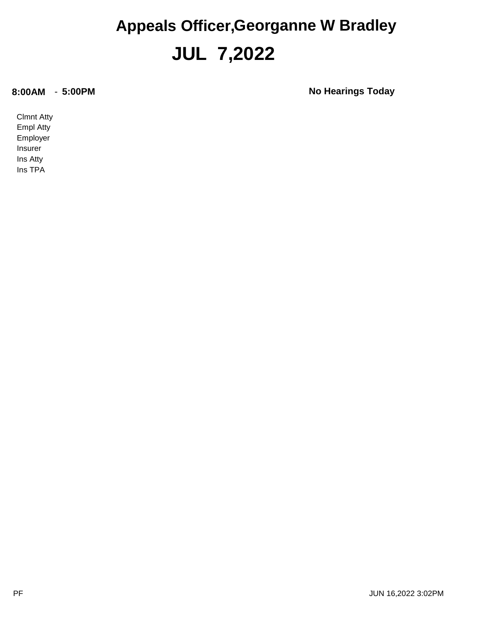#### **JUL 7,2022 Appeals Officer,Georganne W Bradley**

**8:00AM** - **5:00PM No Hearings Today**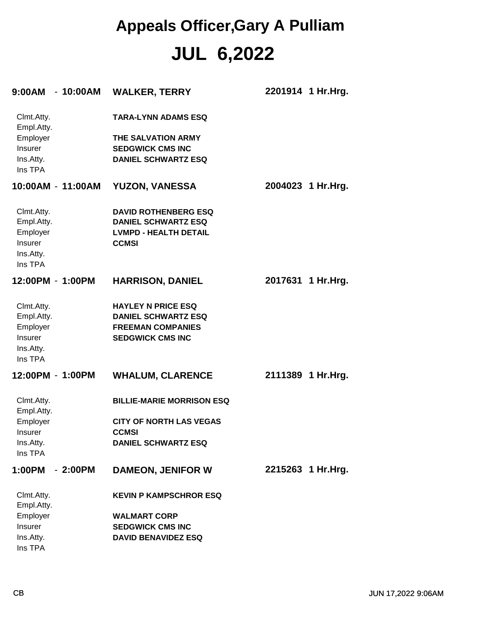## **JUL 6,2022 Appeals Officer,Gary A Pulliam**

| $-10:00AM$<br>9:00AM                                                    | <b>WALKER, TERRY</b>                                                                                           | 2201914 1 Hr.Hrg.  |
|-------------------------------------------------------------------------|----------------------------------------------------------------------------------------------------------------|--------------------|
| Clmt.Atty.<br>Empl.Atty.<br>Employer<br>Insurer<br>Ins.Atty.            | <b>TARA-LYNN ADAMS ESQ</b><br>THE SALVATION ARMY<br><b>SEDGWICK CMS INC</b><br><b>DANIEL SCHWARTZ ESQ</b>      |                    |
| Ins TPA                                                                 |                                                                                                                |                    |
| 10:00AM - 11:00AM                                                       | <b>YUZON, VANESSA</b>                                                                                          | 2004023 1 Hr.Hrg.  |
| Clmt.Atty.<br>Empl.Atty.<br>Employer<br>Insurer<br>Ins.Atty.<br>Ins TPA | <b>DAVID ROTHENBERG ESQ</b><br><b>DANIEL SCHWARTZ ESQ</b><br><b>LVMPD - HEALTH DETAIL</b><br><b>CCMSI</b>      |                    |
| 12:00PM - 1:00PM                                                        | <b>HARRISON, DANIEL</b>                                                                                        | 2017631 1 Hr.Hrg.  |
| Clmt.Atty.<br>Empl.Atty.<br>Employer<br>Insurer<br>Ins.Atty.<br>Ins TPA | <b>HAYLEY N PRICE ESQ</b><br><b>DANIEL SCHWARTZ ESQ</b><br><b>FREEMAN COMPANIES</b><br><b>SEDGWICK CMS INC</b> |                    |
| 12:00PM - 1:00PM                                                        | <b>WHALUM, CLARENCE</b>                                                                                        | 2111389 1 Hr. Hrg. |
| Clmt.Atty.<br>Empl.Atty.                                                | <b>BILLIE-MARIE MORRISON ESQ</b>                                                                               |                    |
| Employer<br>Insurer                                                     | <b>CITY OF NORTH LAS VEGAS</b><br><b>CCMSI</b>                                                                 |                    |
| Ins.Atty.<br>Ins TPA                                                    | <b>DANIEL SCHWARTZ ESQ</b>                                                                                     |                    |
| 1:00PM<br>- 2:00PM                                                      | <b>DAMEON, JENIFOR W</b>                                                                                       | 2215263 1 Hr.Hrg.  |
| Clmt.Atty.<br>Empl.Atty.                                                | <b>KEVIN P KAMPSCHROR ESQ</b>                                                                                  |                    |
| Employer                                                                | <b>WALMART CORP</b>                                                                                            |                    |
| Insurer<br>Ins.Atty.                                                    | <b>SEDGWICK CMS INC</b><br><b>DAVID BENAVIDEZ ESQ</b>                                                          |                    |
| Ins TPA                                                                 |                                                                                                                |                    |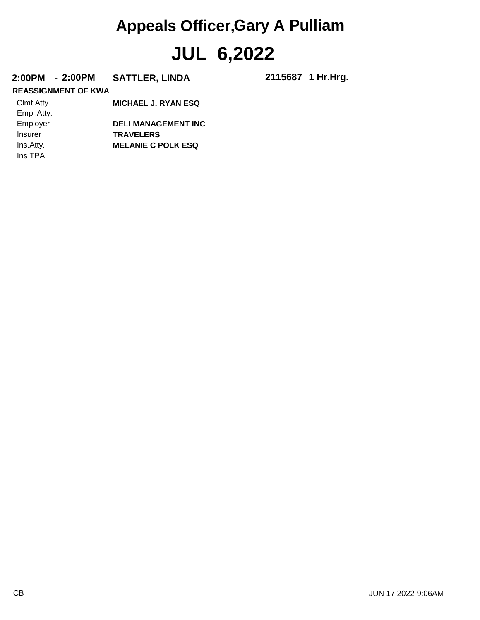# **JUL 6,2022 Appeals Officer,Gary A Pulliam**

#### **2:00PM** - **2:00PM SATTLER, LINDA 2115687**

2115687 1 Hr.Hrg.

#### **REASSIGNMENT OF KWA**

| Clmt.Atty. | <b>MICHAEL J. RYAN ESQ</b> |
|------------|----------------------------|
| Empl.Atty. |                            |
| Employer   | <b>DELI MANAGEMENT INC</b> |
| Insurer    | <b>TRAVELERS</b>           |
| Ins.Atty.  | <b>MELANIE C POLK ESQ</b>  |
| Ins TPA    |                            |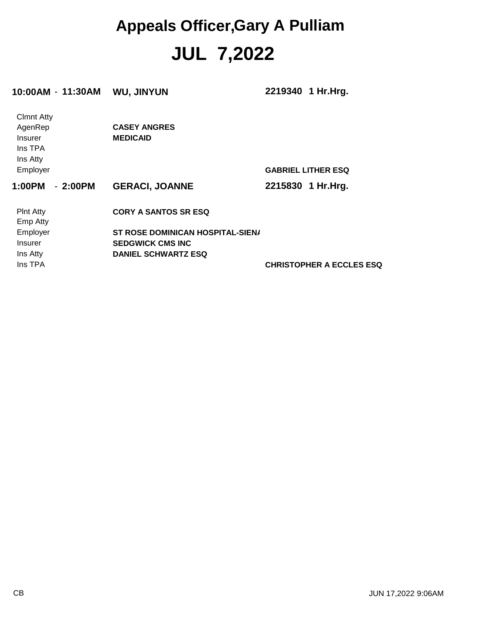#### **JUL 7,2022 Appeals Officer,Gary A Pulliam**

| 10:00AM - 11:30AM                                                     | <b>WU, JINYUN</b>                       | 2219340 1 Hr. Hrg.              |
|-----------------------------------------------------------------------|-----------------------------------------|---------------------------------|
| <b>Clmnt Atty</b><br>AgenRep<br><b>Insurer</b><br>Ins TPA<br>Ins Atty | <b>CASEY ANGRES</b><br><b>MEDICAID</b>  |                                 |
| Employer                                                              |                                         | <b>GABRIEL LITHER ESQ</b>       |
| $-2:00PM$<br>1:00PM                                                   | <b>GERACI, JOANNE</b>                   | 2215830 1 Hr. Hrg.              |
| <b>PInt Atty</b><br><b>Emp Atty</b>                                   | <b>CORY A SANTOS SR ESQ</b>             |                                 |
| Employer                                                              | <b>ST ROSE DOMINICAN HOSPITAL-SIEN/</b> |                                 |
| Insurer                                                               | <b>SEDGWICK CMS INC</b>                 |                                 |
| Ins Atty                                                              | <b>DANIEL SCHWARTZ ESQ</b>              |                                 |
| Ins TPA                                                               |                                         | <b>CHRISTOPHER A ECCLES ESQ</b> |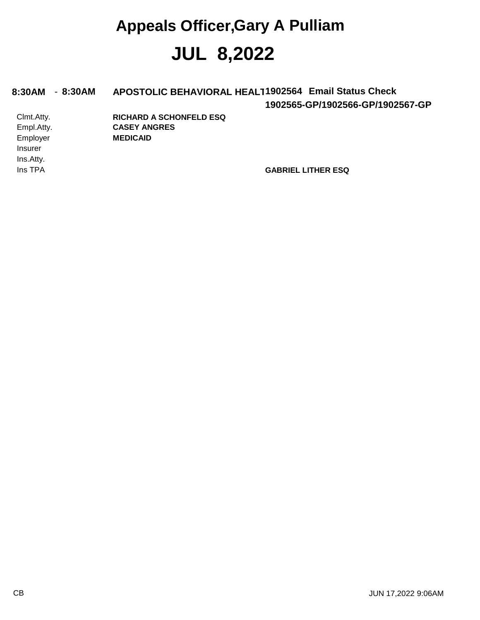### **JUL 8,2022 Appeals Officer,Gary A Pulliam**

**1902565-GP/1902566-GP/1902567-GP** Employer Empl.Atty. Clmt.Atty. 8:30AM - 8:30AM APOSTOLIC BEHAVIORAL HEALT1902564 Email Status Check **MEDICAID CASEY ANGRES RICHARD A SCHONFELD ESQ**

Ins.Atty. Insurer

**Ins TPA GABRIEL LITHER ESQ**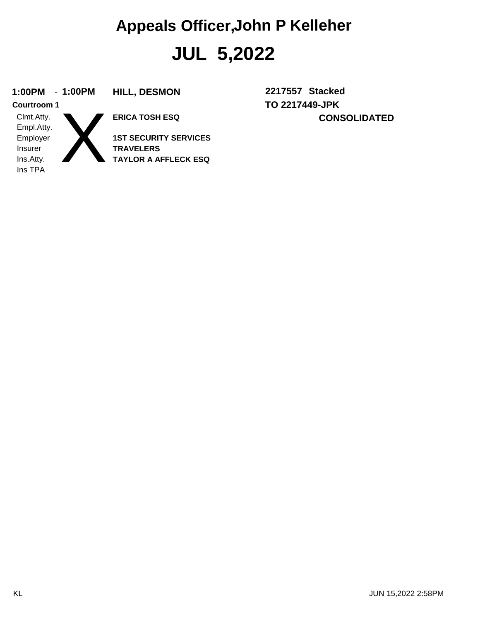#### **1:00PM** - **1:00PM HILL, DESMON 2217557**

X **Courtroom 1**

Ins TPA Ins.Atty. Insurer Employer Empl.Atty. Clmt.Atty.

**ERICA TOSH ESQ**

**TAYLOR A AFFLECK ESQ TRAVELERS 1ST SECURITY SERVICES** **TO 2217449-JPK CONSOLIDATED** 2217557 Stacked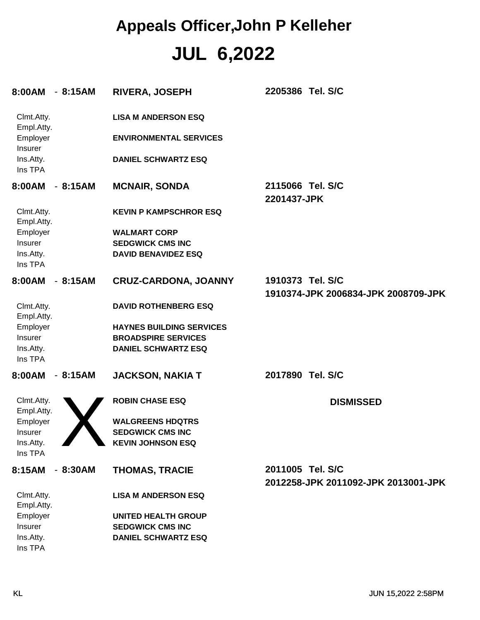| 8:00AM - 8:15AM          |                          | <b>RIVERA, JOSEPH</b>           | 2205386 Tel. S/C                    |
|--------------------------|--------------------------|---------------------------------|-------------------------------------|
| Clmt.Atty.<br>Empl.Atty. |                          | <b>LISA M ANDERSON ESQ</b>      |                                     |
| Employer<br>Insurer      |                          | <b>ENVIRONMENTAL SERVICES</b>   |                                     |
| Ins.Atty.<br>Ins TPA     |                          | <b>DANIEL SCHWARTZ ESQ</b>      |                                     |
| 8:00AM                   | $-8:15AM$                | <b>MCNAIR, SONDA</b>            | 2115066 Tel. S/C<br>2201437-JPK     |
| Clmt.Atty.<br>Empl.Atty. |                          | <b>KEVIN P KAMPSCHROR ESQ</b>   |                                     |
| Employer                 |                          | <b>WALMART CORP</b>             |                                     |
| Insurer                  |                          | <b>SEDGWICK CMS INC</b>         |                                     |
| Ins.Atty.                |                          | <b>DAVID BENAVIDEZ ESQ</b>      |                                     |
| Ins TPA                  |                          |                                 |                                     |
| 8:00AM                   | $-8:15AM$                | <b>CRUZ-CARDONA, JOANNY</b>     | 1910373 Tel. S/C                    |
|                          |                          |                                 | 1910374-JPK 2006834-JPK 2008709-JPK |
| Clmt.Atty.<br>Empl.Atty. |                          | <b>DAVID ROTHENBERG ESQ</b>     |                                     |
| Employer                 |                          | <b>HAYNES BUILDING SERVICES</b> |                                     |
| Insurer                  |                          | <b>BROADSPIRE SERVICES</b>      |                                     |
| Ins.Atty.                |                          | <b>DANIEL SCHWARTZ ESQ</b>      |                                     |
| Ins TPA                  |                          |                                 |                                     |
| 8:00AM                   | 8:15AM<br>$\blacksquare$ | <b>JACKSON, NAKIA T</b>         | 2017890 Tel. S/C                    |
| Clmt.Atty.               |                          | <b>ROBIN CHASE ESQ</b>          | <b>DISMISSED</b>                    |
| Empl.Atty.<br>Employer   |                          | <b>WALGREENS HDQTRS</b>         |                                     |
| <b>Insurer</b>           |                          | <b>SEDGWICK CMS INC</b>         |                                     |
| Ins.Atty.                |                          | <b>KEVIN JOHNSON ESQ</b>        |                                     |
| Ins TPA                  |                          |                                 |                                     |
| 8:15AM - 8:30AM          |                          | <b>THOMAS, TRACIE</b>           | 2011005 Tel. S/C                    |
|                          |                          |                                 | 2012258-JPK 2011092-JPK 2013001-JPK |
| Clmt.Atty.<br>Empl.Atty. |                          | <b>LISA M ANDERSON ESQ</b>      |                                     |
| Employer                 |                          | <b>UNITED HEALTH GROUP</b>      |                                     |
| Insurer                  |                          | <b>SEDGWICK CMS INC</b>         |                                     |
| Ins.Atty.                |                          | <b>DANIEL SCHWARTZ ESQ</b>      |                                     |
| Ins TPA                  |                          |                                 |                                     |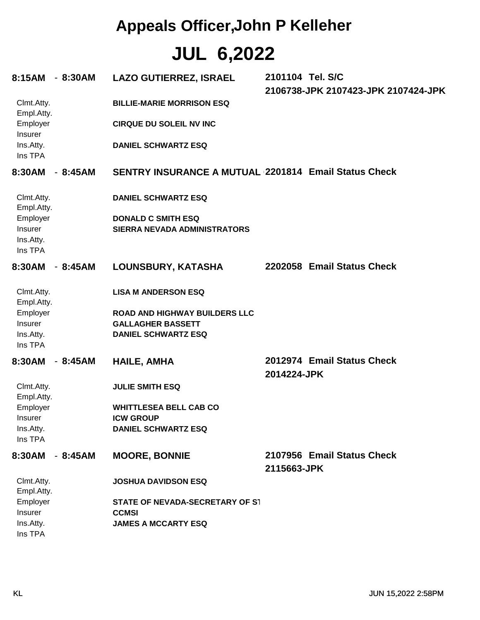#### **Appeals Officer,John P Kelleher**

#### **JUL 6,2022**

| 8:15AM                          | $-8:30AM$ | <b>LAZO GUTIERREZ, ISRAEL</b>                          | 2101104 Tel. S/C | 2106738-JPK 2107423-JPK 2107424-JPK |  |
|---------------------------------|-----------|--------------------------------------------------------|------------------|-------------------------------------|--|
| Clmt.Atty.<br>Empl.Atty.        |           | <b>BILLIE-MARIE MORRISON ESQ</b>                       |                  |                                     |  |
| Employer<br>Insurer             |           | <b>CIRQUE DU SOLEIL NV INC</b>                         |                  |                                     |  |
| Ins.Atty.<br>Ins TPA            |           | <b>DANIEL SCHWARTZ ESQ</b>                             |                  |                                     |  |
| 8:30AM                          | $-8:45AM$ | SENTRY INSURANCE A MUTUAL 2201814 Email Status Check   |                  |                                     |  |
| Clmt.Atty.<br>Empl.Atty.        |           | <b>DANIEL SCHWARTZ ESQ</b>                             |                  |                                     |  |
| Employer                        |           | <b>DONALD C SMITH ESQ</b>                              |                  |                                     |  |
| Insurer<br>Ins.Atty.<br>Ins TPA |           | SIERRA NEVADA ADMINISTRATORS                           |                  |                                     |  |
| 8:30AM                          | $-8:45AM$ | LOUNSBURY, KATASHA                                     |                  | 2202058 Email Status Check          |  |
| Clmt.Atty.<br>Empl.Atty.        |           | <b>LISA M ANDERSON ESQ</b>                             |                  |                                     |  |
| Employer                        |           | <b>ROAD AND HIGHWAY BUILDERS LLC</b>                   |                  |                                     |  |
| Insurer<br>Ins.Atty.            |           | <b>GALLAGHER BASSETT</b><br><b>DANIEL SCHWARTZ ESQ</b> |                  |                                     |  |
| Ins TPA                         |           |                                                        |                  |                                     |  |
| 8:30AM                          | $-8:45AM$ | <b>HAILE, AMHA</b>                                     |                  | 2012974 Email Status Check          |  |
|                                 |           |                                                        | 2014224-JPK      |                                     |  |
| Clmt.Atty.<br>Empl.Atty.        |           | <b>JULIE SMITH ESQ</b>                                 |                  |                                     |  |
| Employer                        |           | <b>WHITTLESEA BELL CAB CO</b>                          |                  |                                     |  |
| Insurer                         |           | <b>ICW GROUP</b>                                       |                  |                                     |  |
| Ins.Atty.<br>Ins TPA            |           | <b>DANIEL SCHWARTZ ESQ</b>                             |                  |                                     |  |
| 8:30AM                          | $-8:45AM$ | <b>MOORE, BONNIE</b>                                   |                  | 2107956 Email Status Check          |  |
|                                 |           |                                                        | 2115663-JPK      |                                     |  |
| Clmt.Atty.<br>Empl.Atty.        |           | <b>JOSHUA DAVIDSON ESQ</b>                             |                  |                                     |  |
| Employer                        |           | STATE OF NEVADA-SECRETARY OF S1                        |                  |                                     |  |
| Insurer<br>Ins.Atty.            |           | <b>CCMSI</b><br><b>JAMES A MCCARTY ESQ</b>             |                  |                                     |  |
| Ins TPA                         |           |                                                        |                  |                                     |  |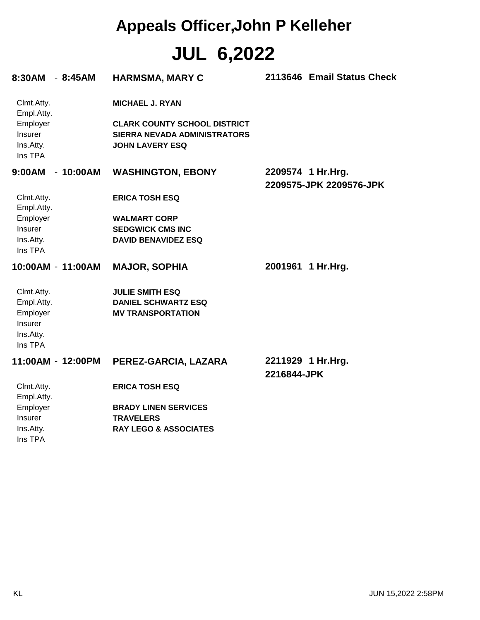| 8:30AM - 8:45AM                                                         |            | <b>HARMSMA, MARY C</b>                                                                                                         |             | 2113646 Email Status Check                   |
|-------------------------------------------------------------------------|------------|--------------------------------------------------------------------------------------------------------------------------------|-------------|----------------------------------------------|
| Clmt.Atty.<br>Empl.Atty.<br>Employer<br>Insurer<br>Ins.Atty.<br>Ins TPA |            | <b>MICHAEL J. RYAN</b><br><b>CLARK COUNTY SCHOOL DISTRICT</b><br><b>SIERRA NEVADA ADMINISTRATORS</b><br><b>JOHN LAVERY ESQ</b> |             |                                              |
| 9:00AM                                                                  | $-10:00AM$ | <b>WASHINGTON, EBONY</b>                                                                                                       |             | 2209574 1 Hr.Hrg.<br>2209575-JPK 2209576-JPK |
| Clmt.Atty.<br>Empl.Atty.                                                |            | <b>ERICA TOSH ESQ</b>                                                                                                          |             |                                              |
| Employer                                                                |            | <b>WALMART CORP</b>                                                                                                            |             |                                              |
| Insurer                                                                 |            | <b>SEDGWICK CMS INC</b>                                                                                                        |             |                                              |
| Ins.Atty.<br>Ins TPA                                                    |            | <b>DAVID BENAVIDEZ ESQ</b>                                                                                                     |             |                                              |
| 10:00AM - 11:00AM                                                       |            | <b>MAJOR, SOPHIA</b>                                                                                                           | 2001961     | 1 Hr.Hrg.                                    |
| Clmt.Atty.<br>Empl.Atty.<br>Employer<br>Insurer<br>Ins.Atty.<br>Ins TPA |            | <b>JULIE SMITH ESQ</b><br><b>DANIEL SCHWARTZ ESQ</b><br><b>MV TRANSPORTATION</b>                                               |             |                                              |
| 11:00AM - 12:00PM                                                       |            | PEREZ-GARCIA, LAZARA                                                                                                           | 2216844-JPK | 2211929 1 Hr.Hrg.                            |
| Clmt.Atty.<br>Empl.Atty.                                                |            | <b>ERICA TOSH ESQ</b>                                                                                                          |             |                                              |
| Employer                                                                |            | <b>BRADY LINEN SERVICES</b>                                                                                                    |             |                                              |
| Insurer                                                                 |            | <b>TRAVELERS</b>                                                                                                               |             |                                              |
| Ins.Atty.<br>Ins TPA                                                    |            | <b>RAY LEGO &amp; ASSOCIATES</b>                                                                                               |             |                                              |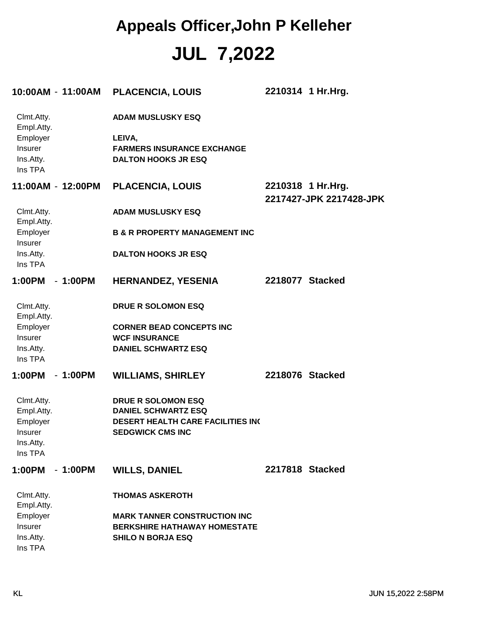| 10:00AM - 11:00AM                                                       |           | <b>PLACENCIA, LOUIS</b>                                                                                                        |                 | 2210314 1 Hr.Hrg.                            |
|-------------------------------------------------------------------------|-----------|--------------------------------------------------------------------------------------------------------------------------------|-----------------|----------------------------------------------|
| Clmt.Atty.<br>Empl.Atty.<br>Employer<br>Insurer<br>Ins.Atty.<br>Ins TPA |           | <b>ADAM MUSLUSKY ESQ</b><br>LEIVA,<br><b>FARMERS INSURANCE EXCHANGE</b><br><b>DALTON HOOKS JR ESQ</b>                          |                 |                                              |
| 11:00AM - 12:00PM                                                       |           | <b>PLACENCIA, LOUIS</b>                                                                                                        |                 | 2210318 1 Hr.Hrg.<br>2217427-JPK 2217428-JPK |
| Clmt.Atty.<br>Empl.Atty.                                                |           | <b>ADAM MUSLUSKY ESQ</b>                                                                                                       |                 |                                              |
| Employer<br>Insurer                                                     |           | <b>B &amp; R PROPERTY MANAGEMENT INC</b>                                                                                       |                 |                                              |
| Ins.Atty.<br>Ins TPA                                                    |           | <b>DALTON HOOKS JR ESQ</b>                                                                                                     |                 |                                              |
| 1:00PM                                                                  | $-1:00PM$ | <b>HERNANDEZ, YESENIA</b>                                                                                                      | 2218077 Stacked |                                              |
| Clmt.Atty.<br>Empl.Atty.                                                |           | <b>DRUE R SOLOMON ESQ</b>                                                                                                      |                 |                                              |
| Employer                                                                |           | <b>CORNER BEAD CONCEPTS INC</b>                                                                                                |                 |                                              |
| Insurer                                                                 |           | <b>WCF INSURANCE</b>                                                                                                           |                 |                                              |
| Ins.Atty.<br>Ins TPA                                                    |           | <b>DANIEL SCHWARTZ ESQ</b>                                                                                                     |                 |                                              |
| 1:00PM                                                                  | $-1:00PM$ | <b>WILLIAMS, SHIRLEY</b>                                                                                                       | 2218076 Stacked |                                              |
| Clmt.Atty.<br>Empl.Atty.<br>Employer<br>Insurer<br>Ins.Atty.<br>Ins TPA |           | <b>DRUE R SOLOMON ESQ</b><br><b>DANIEL SCHWARTZ ESQ</b><br><b>DESERT HEALTH CARE FACILITIES IN(</b><br><b>SEDGWICK CMS INC</b> |                 |                                              |
| 1:00PM                                                                  | $-1:00PM$ | <b>WILLS, DANIEL</b>                                                                                                           | 2217818 Stacked |                                              |
| Clmt.Atty.<br>Empl.Atty.                                                |           | <b>THOMAS ASKEROTH</b>                                                                                                         |                 |                                              |
| Employer<br>Insurer<br>Ins.Atty.<br>Ins TPA                             |           | <b>MARK TANNER CONSTRUCTION INC</b><br><b>BERKSHIRE HATHAWAY HOMESTATE</b><br><b>SHILO N BORJA ESQ</b>                         |                 |                                              |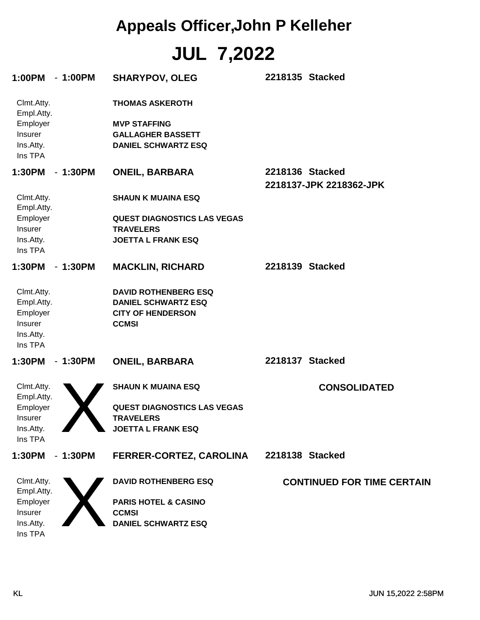| 1:00PM<br>$-1:00PM$                                                     | <b>SHARYPOV, OLEG</b>                                                                                     | 2218135 Stacked                            |
|-------------------------------------------------------------------------|-----------------------------------------------------------------------------------------------------------|--------------------------------------------|
| Clmt.Atty.<br>Empl.Atty.<br>Employer<br>Insurer<br>Ins.Atty.<br>Ins TPA | <b>THOMAS ASKEROTH</b><br><b>MVP STAFFING</b><br><b>GALLAGHER BASSETT</b><br><b>DANIEL SCHWARTZ ESQ</b>   |                                            |
| 1:30PM<br>$-1:30PM$                                                     | <b>ONEIL, BARBARA</b>                                                                                     | 2218136 Stacked<br>2218137-JPK 2218362-JPK |
| Clmt.Atty.<br>Empl.Atty.                                                | <b>SHAUN K MUAINA ESQ</b>                                                                                 |                                            |
| Employer<br>Insurer<br>Ins.Atty.<br>Ins TPA                             | <b>QUEST DIAGNOSTICS LAS VEGAS</b><br><b>TRAVELERS</b><br><b>JOETTA L FRANK ESQ</b>                       |                                            |
| 1:30PM<br>$-1:30PM$                                                     | <b>MACKLIN, RICHARD</b>                                                                                   | 2218139 Stacked                            |
| Clmt.Atty.<br>Empl.Atty.<br>Employer<br>Insurer<br>Ins.Atty.<br>Ins TPA | <b>DAVID ROTHENBERG ESQ</b><br><b>DANIEL SCHWARTZ ESQ</b><br><b>CITY OF HENDERSON</b><br><b>CCMSI</b>     |                                            |
| 1:30PM<br>$-1:30PM$                                                     | <b>ONEIL, BARBARA</b>                                                                                     | 2218137 Stacked                            |
| Clmt.Atty.<br>Empl.Atty.<br>Employer<br>Insurer<br>Ins.Atty.<br>Ins TPA | <b>SHAUN K MUAINA ESQ</b><br><b>QUEST DIAGNOSTICS LAS VEGAS</b><br>TRAVELERS<br><b>JOETTA L FRANK ESQ</b> | <b>CONSOLIDATED</b>                        |
| $-1:30PM$<br>1:30PM                                                     | FERRER-CORTEZ, CAROLINA                                                                                   | 2218138 Stacked                            |
| Clmt.Atty.<br>Empl.Atty.                                                | <b>DAVID ROTHENBERG ESQ</b>                                                                               | <b>CONTINUED FOR TIME CERTAIN</b>          |
| Employer<br>Insurer<br>Ins.Atty.<br>Ins TPA                             | <b>PARIS HOTEL &amp; CASINO</b><br><b>CCMSI</b><br><b>DANIEL SCHWARTZ ESQ</b>                             |                                            |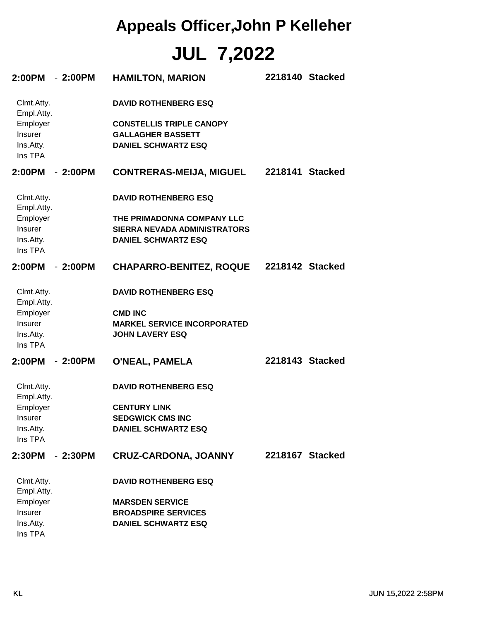| 2:00PM - 2:00PM          |           | <b>HAMILTON, MARION</b>             | 2218140 Stacked |
|--------------------------|-----------|-------------------------------------|-----------------|
| Clmt.Atty.<br>Empl.Atty. |           | <b>DAVID ROTHENBERG ESQ</b>         |                 |
| Employer                 |           | <b>CONSTELLIS TRIPLE CANOPY</b>     |                 |
| Insurer                  |           | <b>GALLAGHER BASSETT</b>            |                 |
| Ins.Atty.                |           | <b>DANIEL SCHWARTZ ESQ</b>          |                 |
| Ins TPA                  |           |                                     |                 |
| 2:00PM                   | - 2:00PM  | <b>CONTRERAS-MEIJA, MIGUEL</b>      | 2218141 Stacked |
| Clmt.Atty.<br>Empl.Atty. |           | <b>DAVID ROTHENBERG ESQ</b>         |                 |
| Employer                 |           | THE PRIMADONNA COMPANY LLC          |                 |
| Insurer                  |           | <b>SIERRA NEVADA ADMINISTRATORS</b> |                 |
| Ins.Atty.                |           | <b>DANIEL SCHWARTZ ESQ</b>          |                 |
| Ins TPA                  |           |                                     |                 |
| 2:00PM                   | $-2:00PM$ | <b>CHAPARRO-BENITEZ, ROQUE</b>      | 2218142 Stacked |
| Clmt.Atty.<br>Empl.Atty. |           | <b>DAVID ROTHENBERG ESQ</b>         |                 |
| Employer                 |           | <b>CMD INC</b>                      |                 |
| Insurer                  |           | <b>MARKEL SERVICE INCORPORATED</b>  |                 |
| Ins.Atty.                |           | <b>JOHN LAVERY ESQ</b>              |                 |
| Ins TPA                  |           |                                     |                 |
| 2:00PM                   | $-2:00PM$ | <b>O'NEAL, PAMELA</b>               | 2218143 Stacked |
| Clmt.Atty.<br>Empl.Atty. |           | <b>DAVID ROTHENBERG ESQ</b>         |                 |
| Employer                 |           | <b>CENTURY LINK</b>                 |                 |
| <b>Insurer</b>           |           | <b>SEDGWICK CMS INC</b>             |                 |
| Ins.Atty.                |           | <b>DANIEL SCHWARTZ ESQ</b>          |                 |
| Ins TPA                  |           |                                     |                 |
| 2:30PM                   | $-2:30PM$ | <b>CRUZ-CARDONA, JOANNY</b>         | 2218167 Stacked |
| Clmt.Atty.<br>Empl.Atty. |           | <b>DAVID ROTHENBERG ESQ</b>         |                 |
| Employer                 |           | <b>MARSDEN SERVICE</b>              |                 |
| Insurer                  |           | <b>BROADSPIRE SERVICES</b>          |                 |
| Ins.Atty.<br>Ins TPA     |           | <b>DANIEL SCHWARTZ ESQ</b>          |                 |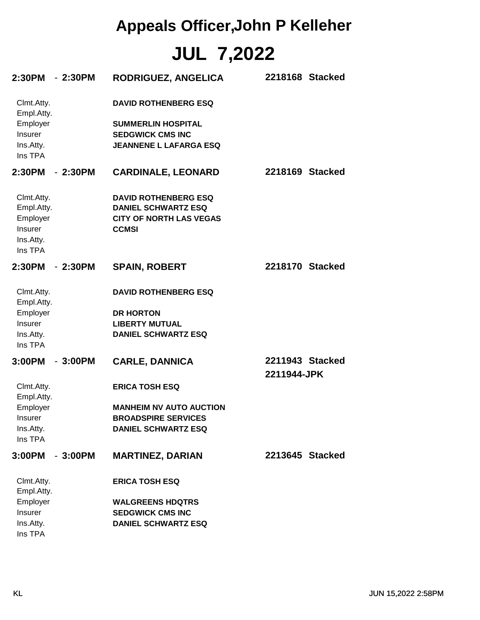| 2:30PM - 2:30PM          |           | <b>RODRIGUEZ, ANGELICA</b>                     | 2218168 Stacked                |
|--------------------------|-----------|------------------------------------------------|--------------------------------|
| Clmt.Atty.<br>Empl.Atty. |           | <b>DAVID ROTHENBERG ESQ</b>                    |                                |
| Employer                 |           | <b>SUMMERLIN HOSPITAL</b>                      |                                |
| Insurer                  |           | <b>SEDGWICK CMS INC</b>                        |                                |
| Ins.Atty.<br>Ins TPA     |           | <b>JEANNENE L LAFARGA ESQ</b>                  |                                |
| 2:30PM                   | $-2:30PM$ | <b>CARDINALE, LEONARD</b>                      | 2218169 Stacked                |
| Clmt.Atty.               |           | <b>DAVID ROTHENBERG ESQ</b>                    |                                |
| Empl.Atty.               |           | <b>DANIEL SCHWARTZ ESQ</b>                     |                                |
| Employer<br>Insurer      |           | <b>CITY OF NORTH LAS VEGAS</b><br><b>CCMSI</b> |                                |
| Ins.Atty.<br>Ins TPA     |           |                                                |                                |
| 2:30PM                   | $-2:30PM$ | <b>SPAIN, ROBERT</b>                           | 2218170 Stacked                |
| Clmt.Atty.<br>Empl.Atty. |           | <b>DAVID ROTHENBERG ESQ</b>                    |                                |
| Employer                 |           | <b>DR HORTON</b>                               |                                |
| Insurer                  |           | <b>LIBERTY MUTUAL</b>                          |                                |
| Ins.Atty.<br>Ins TPA     |           | <b>DANIEL SCHWARTZ ESQ</b>                     |                                |
| 3:00PM                   | $-3:00PM$ | <b>CARLE, DANNICA</b>                          | 2211943 Stacked<br>2211944-JPK |
| Clmt.Atty.<br>Empl.Atty. |           | <b>ERICA TOSH ESQ</b>                          |                                |
| Employer                 |           | <b>MANHEIM NV AUTO AUCTION</b>                 |                                |
| Insurer                  |           | <b>BROADSPIRE SERVICES</b>                     |                                |
| Ins.Atty.<br>Ins TPA     |           | <b>DANIEL SCHWARTZ ESQ</b>                     |                                |
| 3:00PM                   | $-3:00PM$ | <b>MARTINEZ, DARIAN</b>                        | 2213645 Stacked                |
| Clmt.Atty.<br>Empl.Atty. |           | <b>ERICA TOSH ESQ</b>                          |                                |
| Employer                 |           | <b>WALGREENS HDQTRS</b>                        |                                |
| Insurer                  |           | <b>SEDGWICK CMS INC</b>                        |                                |
| Ins.Atty.                |           | <b>DANIEL SCHWARTZ ESQ</b>                     |                                |
| Ins TPA                  |           |                                                |                                |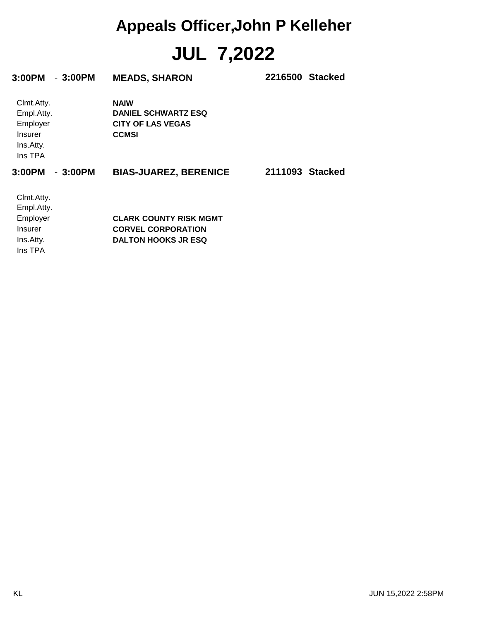| 3:00PM<br>$-3:00PM$ | <b>MEADS, SHARON</b>          | 2216500 Stacked |
|---------------------|-------------------------------|-----------------|
| Clmt.Atty.          | <b>NAIW</b>                   |                 |
| Empl.Atty.          | <b>DANIEL SCHWARTZ ESQ</b>    |                 |
| Employer            | <b>CITY OF LAS VEGAS</b>      |                 |
| <b>Insurer</b>      | <b>CCMSI</b>                  |                 |
| Ins.Atty.           |                               |                 |
| Ins TPA             |                               |                 |
| 3:00PM<br>$-3:00PM$ | <b>BIAS-JUAREZ, BERENICE</b>  | 2111093 Stacked |
| Clmt.Atty.          |                               |                 |
| Empl.Atty.          |                               |                 |
| Employer            | <b>CLARK COUNTY RISK MGMT</b> |                 |
| Insurer             | <b>CORVEL CORPORATION</b>     |                 |
| Ins.Atty.           | <b>DALTON HOOKS JR ESQ</b>    |                 |
| Ins TPA             |                               |                 |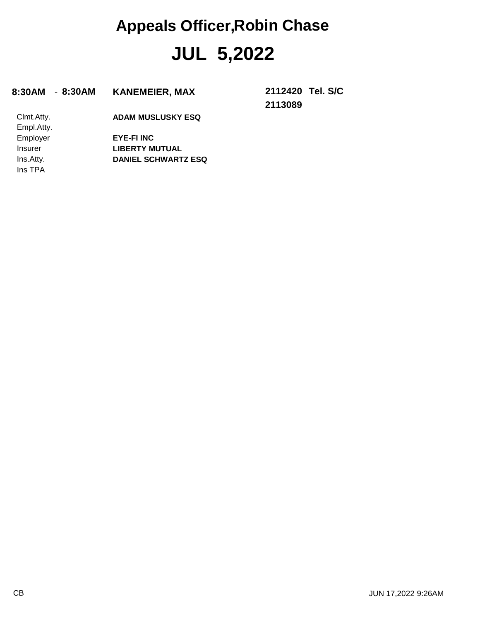#### **8:30AM** - **8:30AM KANEMEIER, MAX 2112420**

**2113089 Tel. S/C**

Ins TPA Ins.Atty. Insurer Employer Empl.Atty. Clmt.Atty.

**DANIEL SCHWARTZ ESQ LIBERTY MUTUAL EYE-FI INC ADAM MUSLUSKY ESQ**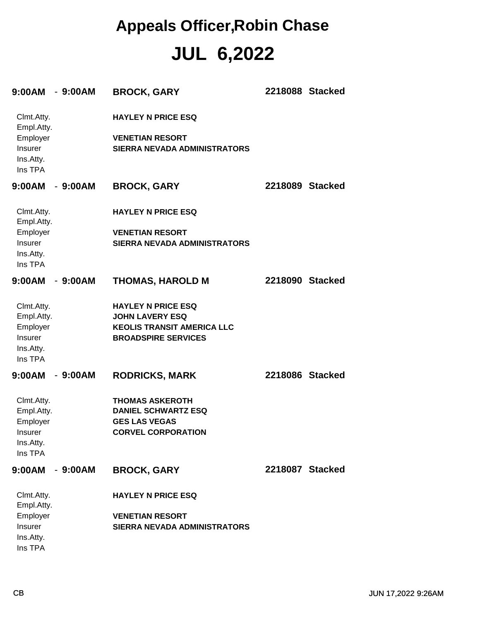| 9:00AM                                                                  | $-9:00AM$ | <b>BROCK, GARY</b>                                                                                                     | 2218088 Stacked |  |
|-------------------------------------------------------------------------|-----------|------------------------------------------------------------------------------------------------------------------------|-----------------|--|
| Clmt.Atty.<br>Empl.Atty.<br>Employer<br>Insurer<br>Ins.Atty.<br>Ins TPA |           | <b>HAYLEY N PRICE ESQ</b><br><b>VENETIAN RESORT</b><br><b>SIERRA NEVADA ADMINISTRATORS</b>                             |                 |  |
| 9:00AM                                                                  | - 9:00AM  | <b>BROCK, GARY</b>                                                                                                     | 2218089 Stacked |  |
| Clmt.Atty.<br>Empl.Atty.                                                |           | <b>HAYLEY N PRICE ESQ</b>                                                                                              |                 |  |
| Employer<br>Insurer<br>Ins.Atty.<br>Ins TPA                             |           | <b>VENETIAN RESORT</b><br><b>SIERRA NEVADA ADMINISTRATORS</b>                                                          |                 |  |
| 9:00AM                                                                  | $-9:00AM$ | <b>THOMAS, HAROLD M</b>                                                                                                | 2218090 Stacked |  |
| Clmt.Atty.<br>Empl.Atty.<br>Employer<br>Insurer<br>Ins.Atty.<br>Ins TPA |           | <b>HAYLEY N PRICE ESQ</b><br><b>JOHN LAVERY ESQ</b><br><b>KEOLIS TRANSIT AMERICA LLC</b><br><b>BROADSPIRE SERVICES</b> |                 |  |
| 9:00AM                                                                  | $-9:00AM$ | <b>RODRICKS, MARK</b>                                                                                                  | 2218086 Stacked |  |
| Clmt.Atty.<br>Empl.Atty.<br>Employer<br>Insurer<br>Ins.Atty.<br>Ins TPA |           | <b>THOMAS ASKEROTH</b><br><b>DANIEL SCHWARTZ ESQ</b><br><b>GES LAS VEGAS</b><br><b>CORVEL CORPORATION</b>              |                 |  |
| 9:00AM                                                                  | $-9:00AM$ | <b>BROCK, GARY</b>                                                                                                     | 2218087 Stacked |  |
| Clmt.Atty.<br>Empl.Atty.                                                |           | <b>HAYLEY N PRICE ESQ</b>                                                                                              |                 |  |
| Employer<br>Insurer<br>Ins.Atty.<br>Ins TPA                             |           | <b>VENETIAN RESORT</b><br><b>SIERRA NEVADA ADMINISTRATORS</b>                                                          |                 |  |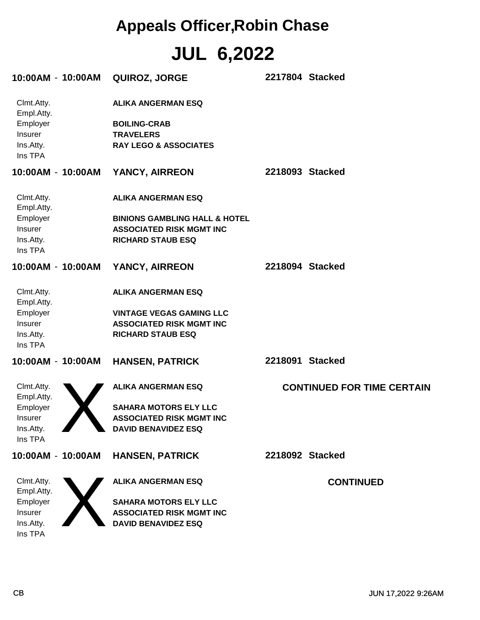| 10:00AM - 10:00AM        | QUIROZ, JORGE                            | 2217804 Stacked                   |
|--------------------------|------------------------------------------|-----------------------------------|
| Clmt.Atty.<br>Empl.Atty. | <b>ALIKA ANGERMAN ESQ</b>                |                                   |
| Employer                 | <b>BOILING-CRAB</b>                      |                                   |
| Insurer                  | <b>TRAVELERS</b>                         |                                   |
| Ins.Atty.<br>Ins TPA     | <b>RAY LEGO &amp; ASSOCIATES</b>         |                                   |
| 10:00AM - 10:00AM        | YANCY, AIRREON                           | 2218093 Stacked                   |
| Clmt.Atty.<br>Empl.Atty. | <b>ALIKA ANGERMAN ESQ</b>                |                                   |
| Employer                 | <b>BINIONS GAMBLING HALL &amp; HOTEL</b> |                                   |
| Insurer                  | <b>ASSOCIATED RISK MGMT INC</b>          |                                   |
| Ins.Atty.<br>Ins TPA     | <b>RICHARD STAUB ESQ</b>                 |                                   |
| 10:00AM - 10:00AM        | YANCY, AIRREON                           | 2218094 Stacked                   |
| Clmt.Atty.<br>Empl.Atty. | <b>ALIKA ANGERMAN ESQ</b>                |                                   |
| Employer                 | <b>VINTAGE VEGAS GAMING LLC</b>          |                                   |
| Insurer                  | <b>ASSOCIATED RISK MGMT INC</b>          |                                   |
| Ins.Atty.<br>Ins TPA     | <b>RICHARD STAUB ESQ</b>                 |                                   |
| 10:00AM - 10:00AM        | <b>HANSEN, PATRICK</b>                   | 2218091 Stacked                   |
| Clmt.Atty.<br>Empl.Atty. | <b>ALIKA ANGERMAN ESQ</b>                | <b>CONTINUED FOR TIME CERTAIN</b> |
| Employer                 | <b>SAHARA MOTORS ELY LLC</b>             |                                   |
| Insurer                  | <b>ASSOCIATED RISK MGMT INC</b>          |                                   |
| Ins.Atty.<br>Ins TPA     | <b>DAVID BENAVIDEZ ESQ</b>               |                                   |
| 10:00AM - 10:00AM        | <b>HANSEN, PATRICK</b>                   | 2218092 Stacked                   |
| Clmt.Atty.<br>Empl.Atty. | <b>ALIKA ANGERMAN ESQ</b>                | <b>CONTINUED</b>                  |
| Employer                 | <b>SAHARA MOTORS ELY LLC</b>             |                                   |
| Insurer                  | <b>ASSOCIATED RISK MGMT INC</b>          |                                   |
| Ins.Atty.<br>Ins TPA     | <b>DAVID BENAVIDEZ ESQ</b>               |                                   |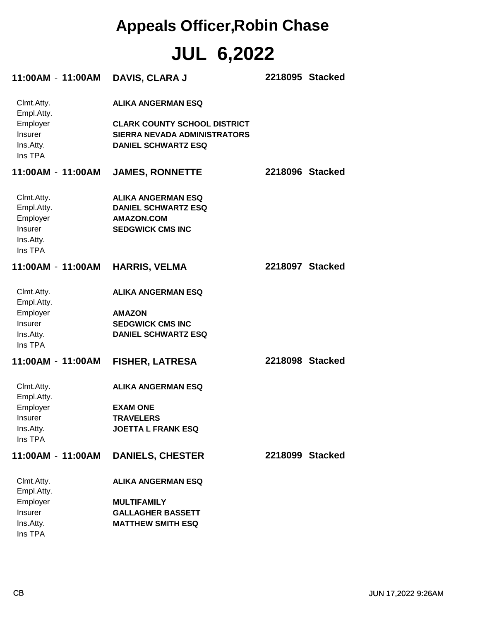| 11:00AM-11:00AM                                                                | <b>DAVIS, CLARA J</b>                                                                                                                 | 2218095 Stacked |
|--------------------------------------------------------------------------------|---------------------------------------------------------------------------------------------------------------------------------------|-----------------|
| Clmt.Atty.<br>Empl.Atty.<br>Employer<br><b>Insurer</b><br>Ins.Atty.<br>Ins TPA | <b>ALIKA ANGERMAN ESQ</b><br><b>CLARK COUNTY SCHOOL DISTRICT</b><br><b>SIERRA NEVADA ADMINISTRATORS</b><br><b>DANIEL SCHWARTZ ESQ</b> |                 |
| 11:00AM - 11:00AM                                                              | <b>JAMES, RONNETTE</b>                                                                                                                | 2218096 Stacked |
| Clmt.Atty.<br>Empl.Atty.<br>Employer<br>Insurer<br>Ins.Atty.<br>Ins TPA        | <b>ALIKA ANGERMAN ESQ</b><br><b>DANIEL SCHWARTZ ESQ</b><br><b>AMAZON.COM</b><br><b>SEDGWICK CMS INC</b>                               |                 |
| 11:00AM - 11:00AM                                                              | <b>HARRIS, VELMA</b>                                                                                                                  | 2218097 Stacked |
| Clmt.Atty.<br>Empl.Atty.<br>Employer<br>Insurer<br>Ins.Atty.<br>Ins TPA        | <b>ALIKA ANGERMAN ESQ</b><br><b>AMAZON</b><br><b>SEDGWICK CMS INC</b><br><b>DANIEL SCHWARTZ ESQ</b>                                   |                 |
| 11:00AM - 11:00AM                                                              | <b>FISHER, LATRESA</b>                                                                                                                | 2218098 Stacked |
| Clmt.Atty.<br>Empl.Atty.<br>Employer<br>Insurer<br>Ins.Atty.<br>Ins TPA        | <b>ALIKA ANGERMAN ESQ</b><br><b>EXAM ONE</b><br><b>TRAVELERS</b><br><b>JOETTA L FRANK ESQ</b>                                         |                 |
| 11:00AM - 11:00AM                                                              | <b>DANIELS, CHESTER</b>                                                                                                               | 2218099 Stacked |
| Clmt.Atty.<br>Empl.Atty.<br>Employer<br>Insurer<br>Ins.Atty.<br>Ins TPA        | <b>ALIKA ANGERMAN ESQ</b><br><b>MULTIFAMILY</b><br><b>GALLAGHER BASSETT</b><br><b>MATTHEW SMITH ESQ</b>                               |                 |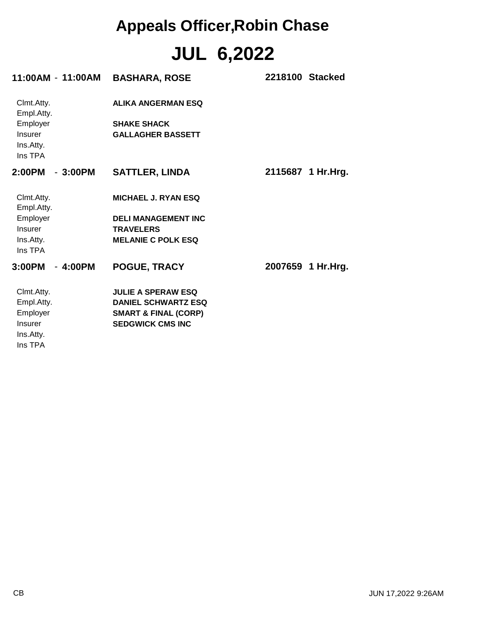| 11:00AM - 11:00AM        | <b>BASHARA, ROSE</b>            | 2218100 Stacked   |
|--------------------------|---------------------------------|-------------------|
| Clmt.Atty.<br>Empl.Atty. | ALIKA ANGERMAN ESQ              |                   |
| Employer                 | <b>SHAKE SHACK</b>              |                   |
| Insurer                  | <b>GALLAGHER BASSETT</b>        |                   |
| Ins.Atty.                |                                 |                   |
| Ins TPA                  |                                 |                   |
| $-3:00PM$<br>2:00PM      | <b>SATTLER, LINDA</b>           | 2115687 1 Hr.Hrg. |
| Clmt.Atty.<br>Empl.Atty. | <b>MICHAEL J. RYAN ESQ</b>      |                   |
| Employer                 | <b>DELI MANAGEMENT INC</b>      |                   |
| Insurer                  | <b>TRAVELERS</b>                |                   |
| Ins.Atty.                | <b>MELANIE C POLK ESQ</b>       |                   |
| Ins TPA                  |                                 |                   |
| 3:00PM<br>$-4:00PM$      | POGUE, TRACY                    | 2007659 1 Hr.Hrg. |
| Clmt.Atty.               | <b>JULIE A SPERAW ESQ</b>       |                   |
| Empl.Atty.               | <b>DANIEL SCHWARTZ ESQ</b>      |                   |
| Employer                 | <b>SMART &amp; FINAL (CORP)</b> |                   |
| Insurer                  | <b>SEDGWICK CMS INC</b>         |                   |
| Ins.Atty.                |                                 |                   |
| Ins TPA                  |                                 |                   |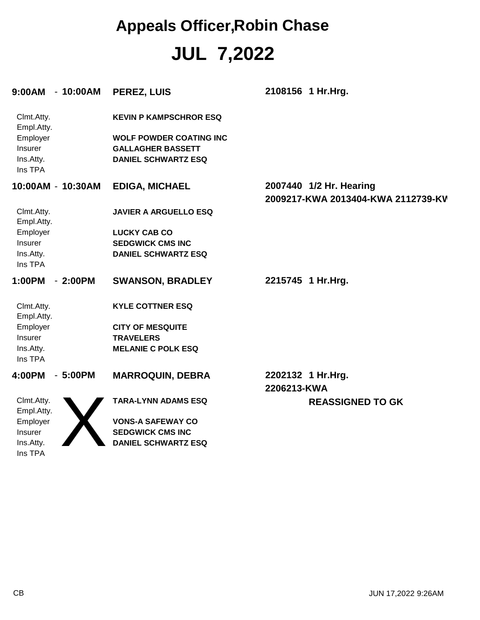| 9:00AM - 10:00AM         |           | PEREZ, LUIS                    | 2108156 1 Hr.Hrg.                  |
|--------------------------|-----------|--------------------------------|------------------------------------|
| Clmt.Atty.<br>Empl.Atty. |           | <b>KEVIN P KAMPSCHROR ESQ</b>  |                                    |
| Employer                 |           | <b>WOLF POWDER COATING INC</b> |                                    |
| Insurer                  |           | <b>GALLAGHER BASSETT</b>       |                                    |
| Ins.Atty.                |           | <b>DANIEL SCHWARTZ ESQ</b>     |                                    |
| Ins TPA                  |           |                                |                                    |
| 10:00AM - 10:30AM        |           | <b>EDIGA, MICHAEL</b>          | 2007440 1/2 Hr. Hearing            |
|                          |           |                                | 2009217-KWA 2013404-KWA 2112739-KV |
| Clmt.Atty.<br>Empl.Atty. |           | <b>JAVIER A ARGUELLO ESQ</b>   |                                    |
| Employer                 |           | <b>LUCKY CAB CO</b>            |                                    |
| Insurer                  |           | <b>SEDGWICK CMS INC</b>        |                                    |
| Ins.Atty.                |           | <b>DANIEL SCHWARTZ ESQ</b>     |                                    |
| Ins TPA                  |           |                                |                                    |
| 1:00PM                   | $-2:00PM$ | <b>SWANSON, BRADLEY</b>        | 2215745 1 Hr.Hrg.                  |
| Clmt.Atty.<br>Empl.Atty. |           | <b>KYLE COTTNER ESQ</b>        |                                    |
| Employer                 |           | <b>CITY OF MESQUITE</b>        |                                    |
| Insurer                  |           | <b>TRAVELERS</b>               |                                    |
| Ins.Atty.                |           | <b>MELANIE C POLK ESQ</b>      |                                    |
| Ins TPA                  |           |                                |                                    |
| 4:00PM                   | $-5:00PM$ | <b>MARROQUIN, DEBRA</b>        | 2202132 1 Hr.Hrg.                  |
|                          |           |                                | 2206213-KWA                        |
| Clmt.Atty.               |           | <b>TARA-LYNN ADAMS ESQ</b>     | <b>REASSIGNED TO GK</b>            |
| Empl.Atty.               |           |                                |                                    |
| Employer                 |           | <b>VONS-A SAFEWAY CO</b>       |                                    |
| Insurer                  |           | <b>SEDGWICK CMS INC</b>        |                                    |
| Ins.Atty.                |           | <b>DANIEL SCHWARTZ ESQ</b>     |                                    |
| Ins TPA                  |           |                                |                                    |